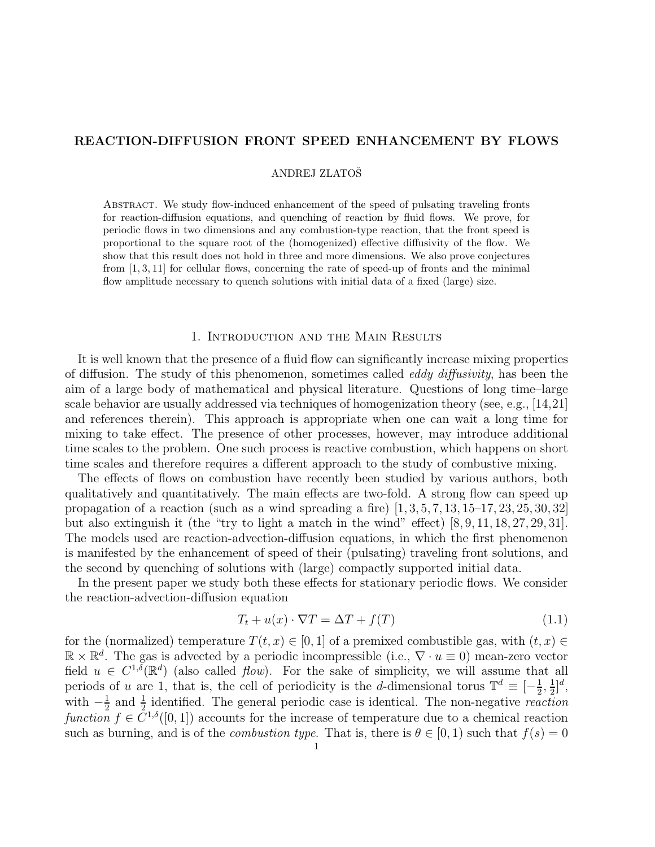# REACTION-DIFFUSION FRONT SPEED ENHANCEMENT BY FLOWS

ANDREJ ZLATOŠ

Abstract. We study flow-induced enhancement of the speed of pulsating traveling fronts for reaction-diffusion equations, and quenching of reaction by fluid flows. We prove, for periodic flows in two dimensions and any combustion-type reaction, that the front speed is proportional to the square root of the (homogenized) effective diffusivity of the flow. We show that this result does not hold in three and more dimensions. We also prove conjectures from  $[1, 3, 11]$  for cellular flows, concerning the rate of speed-up of fronts and the minimal flow amplitude necessary to quench solutions with initial data of a fixed (large) size.

# 1. Introduction and the Main Results

It is well known that the presence of a fluid flow can significantly increase mixing properties of diffusion. The study of this phenomenon, sometimes called *eddy diffusivity*, has been the aim of a large body of mathematical and physical literature. Questions of long time–large scale behavior are usually addressed via techniques of homogenization theory (see, e.g., [14,21] and references therein). This approach is appropriate when one can wait a long time for mixing to take effect. The presence of other processes, however, may introduce additional time scales to the problem. One such process is reactive combustion, which happens on short time scales and therefore requires a different approach to the study of combustive mixing.

The effects of flows on combustion have recently been studied by various authors, both qualitatively and quantitatively. The main effects are two-fold. A strong flow can speed up propagation of a reaction (such as a wind spreading a fire)  $[1, 3, 5, 7, 13, 15-17, 23, 25, 30, 32]$ but also extinguish it (the "try to light a match in the wind" effect) [8, 9, 11, 18, 27, 29, 31]. The models used are reaction-advection-diffusion equations, in which the first phenomenon is manifested by the enhancement of speed of their (pulsating) traveling front solutions, and the second by quenching of solutions with (large) compactly supported initial data.

In the present paper we study both these effects for stationary periodic flows. We consider the reaction-advection-diffusion equation

$$
T_t + u(x) \cdot \nabla T = \Delta T + f(T) \tag{1.1}
$$

for the (normalized) temperature  $T(t, x) \in [0, 1]$  of a premixed combustible gas, with  $(t, x) \in$  $\mathbb{R} \times \mathbb{R}^d$ . The gas is advected by a periodic incompressible (i.e.,  $\nabla \cdot u \equiv 0$ ) mean-zero vector field  $u \in C^{1,\delta}(\mathbb{R}^d)$  (also called *flow*). For the sake of simplicity, we will assume that all periods of u are 1, that is, the cell of periodicity is the d-dimensional torus  $\mathbb{T}^d \equiv \left[-\frac{1}{2}\right]$  $\frac{1}{2}, \frac{1}{2}$  $\frac{1}{2}]^d$ , with  $-\frac{1}{2}$  $\frac{1}{2}$  and  $\frac{1}{2}$  identified. The general periodic case is identical. The non-negative reaction function  $f \in C^{1,\delta}([0,1])$  accounts for the increase of temperature due to a chemical reaction such as burning, and is of the *combustion type*. That is, there is  $\theta \in [0, 1)$  such that  $f(s) = 0$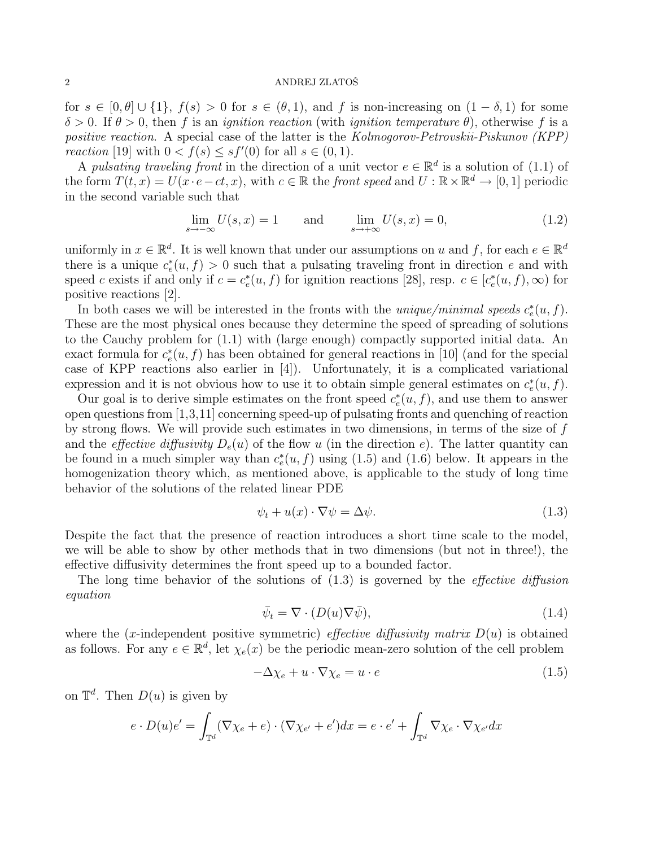for  $s \in [0, \theta] \cup \{1\}$ ,  $f(s) > 0$  for  $s \in (\theta, 1)$ , and f is non-increasing on  $(1 - \delta, 1)$  for some  $\delta > 0$ . If  $\theta > 0$ , then f is an *ignition reaction* (with *ignition temperature*  $\theta$ ), otherwise f is a positive reaction. A special case of the latter is the Kolmogorov-Petrovskii-Piskunov (KPP) reaction [19] with  $0 < f(s) \leq sf'(0)$  for all  $s \in (0, 1)$ .

A pulsating traveling front in the direction of a unit vector  $e \in \mathbb{R}^d$  is a solution of (1.1) of the form  $T(t, x) = U(x \cdot e - ct, x)$ , with  $c \in \mathbb{R}$  the front speed and  $U : \mathbb{R} \times \mathbb{R}^d \to [0, 1]$  periodic in the second variable such that

$$
\lim_{s \to -\infty} U(s, x) = 1 \quad \text{and} \quad \lim_{s \to +\infty} U(s, x) = 0,\tag{1.2}
$$

uniformly in  $x \in \mathbb{R}^d$ . It is well known that under our assumptions on u and f, for each  $e \in \mathbb{R}^d$ there is a unique  $c_e^*(u, f) > 0$  such that a pulsating traveling front in direction e and with speed c exists if and only if  $c = c_e^*(u, f)$  for ignition reactions [28], resp.  $c \in [c_e^*(u, f), \infty)$  for positive reactions [2].

In both cases we will be interested in the fronts with the *unique/minimal speeds*  $c_e^*(u, f)$ . These are the most physical ones because they determine the speed of spreading of solutions to the Cauchy problem for (1.1) with (large enough) compactly supported initial data. An exact formula for  $c_e^*(u, f)$  has been obtained for general reactions in [10] (and for the special case of KPP reactions also earlier in [4]). Unfortunately, it is a complicated variational expression and it is not obvious how to use it to obtain simple general estimates on  $c_e^*(u, f)$ .

Our goal is to derive simple estimates on the front speed  $c_e^*(u, f)$ , and use them to answer open questions from [1,3,11] concerning speed-up of pulsating fronts and quenching of reaction by strong flows. We will provide such estimates in two dimensions, in terms of the size of f and the *effective diffusivity*  $D_e(u)$  of the flow u (in the direction e). The latter quantity can be found in a much simpler way than  $c_e^*(u, f)$  using (1.5) and (1.6) below. It appears in the homogenization theory which, as mentioned above, is applicable to the study of long time behavior of the solutions of the related linear PDE

$$
\psi_t + u(x) \cdot \nabla \psi = \Delta \psi. \tag{1.3}
$$

Despite the fact that the presence of reaction introduces a short time scale to the model, we will be able to show by other methods that in two dimensions (but not in three!), the effective diffusivity determines the front speed up to a bounded factor.

The long time behavior of the solutions of  $(1.3)$  is governed by the *effective diffusion* equation

$$
\bar{\psi}_t = \nabla \cdot (D(u)\nabla \bar{\psi}),\tag{1.4}
$$

where the (x-independent positive symmetric) effective diffusivity matrix  $D(u)$  is obtained as follows. For any  $e \in \mathbb{R}^d$ , let  $\chi_e(x)$  be the periodic mean-zero solution of the cell problem

$$
-\Delta \chi_e + u \cdot \nabla \chi_e = u \cdot e \tag{1.5}
$$

on  $\mathbb{T}^d$ . Then  $D(u)$  is given by

$$
e \cdot D(u)e' = \int_{\mathbb{T}^d} (\nabla \chi_e + e) \cdot (\nabla \chi_{e'} + e') dx = e \cdot e' + \int_{\mathbb{T}^d} \nabla \chi_e \cdot \nabla \chi_{e'} dx
$$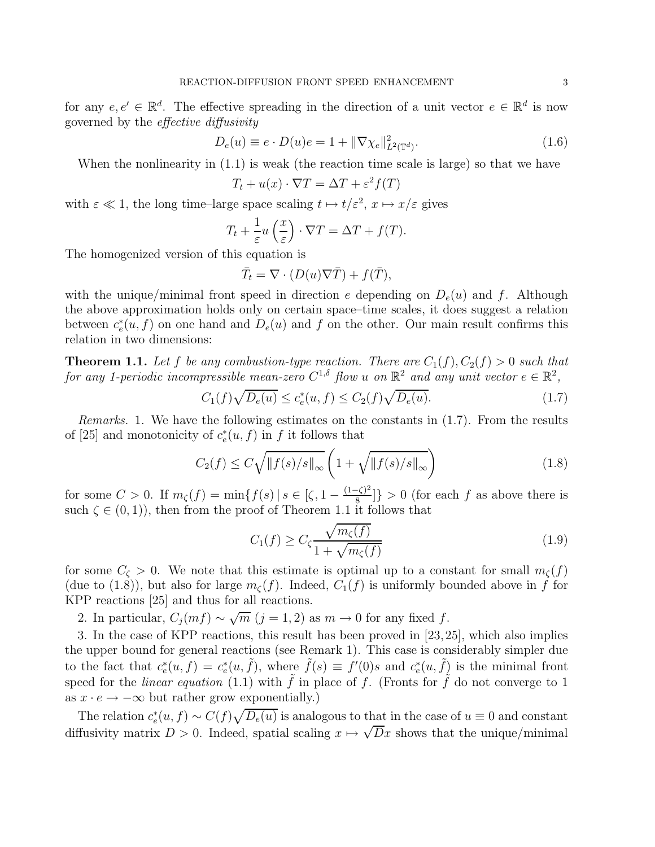for any  $e, e' \in \mathbb{R}^d$ . The effective spreading in the direction of a unit vector  $e \in \mathbb{R}^d$  is now governed by the effective diffusivity

$$
D_e(u) \equiv e \cdot D(u)e = 1 + \|\nabla \chi_e\|_{L^2(\mathbb{T}^d)}^2.
$$
\n(1.6)

When the nonlinearity in  $(1.1)$  is weak (the reaction time scale is large) so that we have

$$
T_t + u(x) \cdot \nabla T = \Delta T + \varepsilon^2 f(T)
$$

with  $\varepsilon \ll 1$ , the long time–large space scaling  $t \mapsto t/\varepsilon^2$ ,  $x \mapsto x/\varepsilon$  gives

$$
T_t + \frac{1}{\varepsilon} u\left(\frac{x}{\varepsilon}\right) \cdot \nabla T = \Delta T + f(T).
$$

The homogenized version of this equation is

$$
\bar{T}_t = \nabla \cdot (D(u)\nabla \bar{T}) + f(\bar{T}),
$$

with the unique/minimal front speed in direction e depending on  $D_e(u)$  and f. Although the above approximation holds only on certain space–time scales, it does suggest a relation between  $c_e^*(u, f)$  on one hand and  $D_e(u)$  and f on the other. Our main result confirms this relation in two dimensions:

**Theorem 1.1.** Let f be any combustion-type reaction. There are  $C_1(f)$ ,  $C_2(f) > 0$  such that for any 1-periodic incompressible mean-zero  $C^{1,\delta}$  flow u on  $\mathbb{R}^2$  and any unit vector  $e \in \mathbb{R}^2$ ,

$$
C_1(f)\sqrt{D_e(u)} \le c_e^*(u, f) \le C_2(f)\sqrt{D_e(u)}.\tag{1.7}
$$

Remarks. 1. We have the following estimates on the constants in  $(1.7)$ . From the results of [25] and monotonicity of  $c_e^*(u, f)$  in  $f$  it follows that

$$
C_2(f) \le C \sqrt{\|f(s)/s\|_{\infty}} \left(1 + \sqrt{\|f(s)/s\|_{\infty}}\right)
$$
\n(1.8)

for some  $C > 0$ . If  $m_{\zeta}(f) = \min\{f(s) | s \in [\zeta, 1 - \frac{(1-\zeta)^2}{8}]$  $\left\{\frac{-\zeta f^2}{8}\right\} > 0$  (for each f as above there is such  $\zeta \in (0,1)$ , then from the proof of Theorem 1.1 it follows that

$$
C_1(f) \ge C_\zeta \frac{\sqrt{m_\zeta(f)}}{1 + \sqrt{m_\zeta(f)}}
$$
\n(1.9)

for some  $C_{\zeta} > 0$ . We note that this estimate is optimal up to a constant for small  $m_{\zeta}(f)$ (due to (1.8)), but also for large  $m<sub>c</sub>(f)$ . Indeed,  $C<sub>1</sub>(f)$  is uniformly bounded above in f for KPP reactions [25] and thus for all reactions.

2. In particular,  $C_j(mf) \sim \sqrt{m}$   $(j = 1, 2)$  as  $m \to 0$  for any fixed f.

3. In the case of KPP reactions, this result has been proved in [23,25], which also implies the upper bound for general reactions (see Remark 1). This case is considerably simpler due to the fact that  $c_e^*(u, f) = c_e^*(u, \tilde{f})$ , where  $\tilde{f}(s) \equiv f'(0)s$  and  $c_e^*(u, \tilde{f})$  is the minimal front speed for the *linear equation* (1.1) with  $\tilde{f}$  in place of f. (Fronts for  $\tilde{f}$  do not converge to 1 as  $x \cdot e \rightarrow -\infty$  but rather grow exponentially.)

The relation  $c_e^*(u, f) \sim C(f) \sqrt{D_e(u)}$  is analogous to that in the case of  $u \equiv 0$  and constant diffusivity matrix  $D > 0$ . Indeed, spatial scaling  $x \mapsto \sqrt{D}x$  shows that the unique/minimal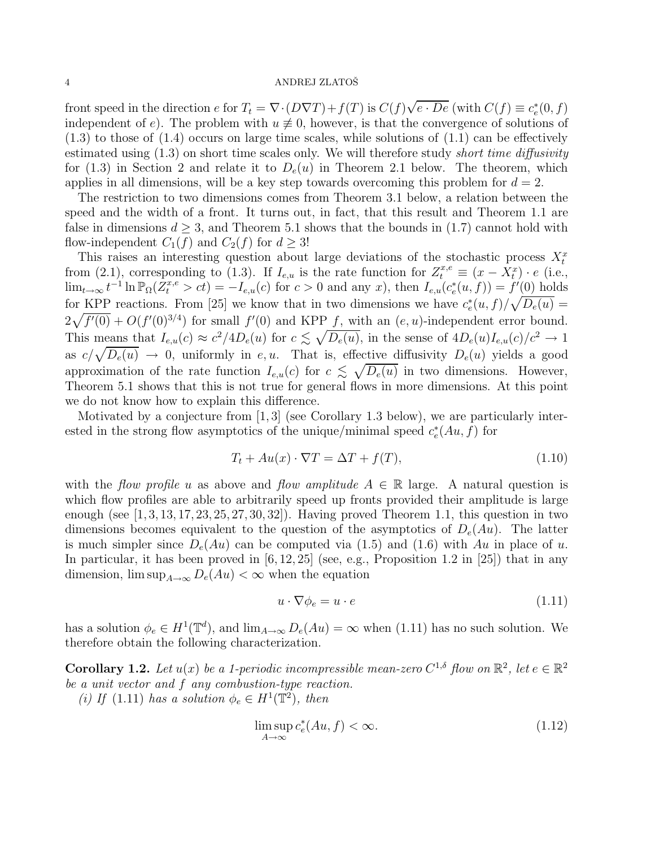front speed in the direction  $e$  for  $T_t = \nabla \cdot (D \nabla T) + f(T)$  is  $C(f)\sqrt{e \cdot De}$  (with  $C(f) \equiv c_e^*(0, f)$ independent of e). The problem with  $u \neq 0$ , however, is that the convergence of solutions of  $(1.3)$  to those of  $(1.4)$  occurs on large time scales, while solutions of  $(1.1)$  can be effectively estimated using  $(1.3)$  on short time scales only. We will therefore study *short time diffusivity* for  $(1.3)$  in Section 2 and relate it to  $D_e(u)$  in Theorem 2.1 below. The theorem, which applies in all dimensions, will be a key step towards overcoming this problem for  $d = 2$ .

The restriction to two dimensions comes from Theorem 3.1 below, a relation between the speed and the width of a front. It turns out, in fact, that this result and Theorem 1.1 are false in dimensions  $d \geq 3$ , and Theorem 5.1 shows that the bounds in (1.7) cannot hold with flow-independent  $C_1(f)$  and  $C_2(f)$  for  $d \geq 3!$ 

This raises an interesting question about large deviations of the stochastic process  $X_t^x$ from (2.1), corresponding to (1.3). If  $I_{e,u}$  is the rate function for  $Z_t^{x,e} \equiv (x - \bar{X}_t^x) \cdot e$  (i.e.,  $\lim_{t\to\infty}t^{-1}\ln\mathbb{P}_{\Omega}(\bar{Z}_{t}^{x,e}\gt ct)=-I_{e,u}(c)$  for  $c>0$  and any x), then  $I_{e,u}(c_{e}^{*}(u,f))=f'(0)$  holds for KPP reactions. From [25] we know that in two dimensions we have  $c_e^*(u, f)/\sqrt{D_e(u)} =$  $2\sqrt{f'(0)} + O(f'(0)^{3/4})$  for small  $f'(0)$  and KPP f, with an  $(e, u)$ -independent error bound. This means that  $I_{e,u}(c) \approx c^2/4D_e(u)$  for  $c \lesssim \sqrt{D_e(u)}$ , in the sense of  $4D_e(u)I_{e,u}(c)/c^2 \to 1$ as  $c/\sqrt{D_e(u)} \to 0$ , uniformly in e, u. That is, effective diffusivity  $D_e(u)$  yields a good approximation of the rate function  $I_{e,u}(c)$  for  $c \leq \sqrt{D_e(u)}$  in two dimensions. However, Theorem 5.1 shows that this is not true for general flows in more dimensions. At this point we do not know how to explain this difference.

Motivated by a conjecture from [1, 3] (see Corollary 1.3 below), we are particularly interested in the strong flow asymptotics of the unique/minimal speed  $c_e^*(Au, f)$  for

$$
T_t + Au(x) \cdot \nabla T = \Delta T + f(T), \qquad (1.10)
$$

with the flow profile u as above and flow amplitude  $A \in \mathbb{R}$  large. A natural question is which flow profiles are able to arbitrarily speed up fronts provided their amplitude is large enough (see  $[1, 3, 13, 17, 23, 25, 27, 30, 32]$ ). Having proved Theorem 1.1, this question in two dimensions becomes equivalent to the question of the asymptotics of  $D_e(Au)$ . The latter is much simpler since  $D_e(Au)$  can be computed via (1.5) and (1.6) with Au in place of u. In particular, it has been proved in  $[6, 12, 25]$  (see, e.g., Proposition 1.2 in [25]) that in any dimension,  $\limsup_{A\to\infty} D_e(Au) < \infty$  when the equation

$$
u \cdot \nabla \phi_e = u \cdot e \tag{1.11}
$$

has a solution  $\phi_e \in H^1(\mathbb{T}^d)$ , and  $\lim_{A\to\infty} D_e(Au) = \infty$  when (1.11) has no such solution. We therefore obtain the following characterization.

**Corollary 1.2.** Let  $u(x)$  be a 1-periodic incompressible mean-zero  $C^{1,\delta}$  flow on  $\mathbb{R}^2$ , let  $e \in \mathbb{R}^2$ be a unit vector and f any combustion-type reaction.

(i) If (1.11) has a solution  $\phi_e \in H^1(\mathbb{T}^2)$ , then

$$
\limsup_{A \to \infty} c_e^*(Au, f) < \infty. \tag{1.12}
$$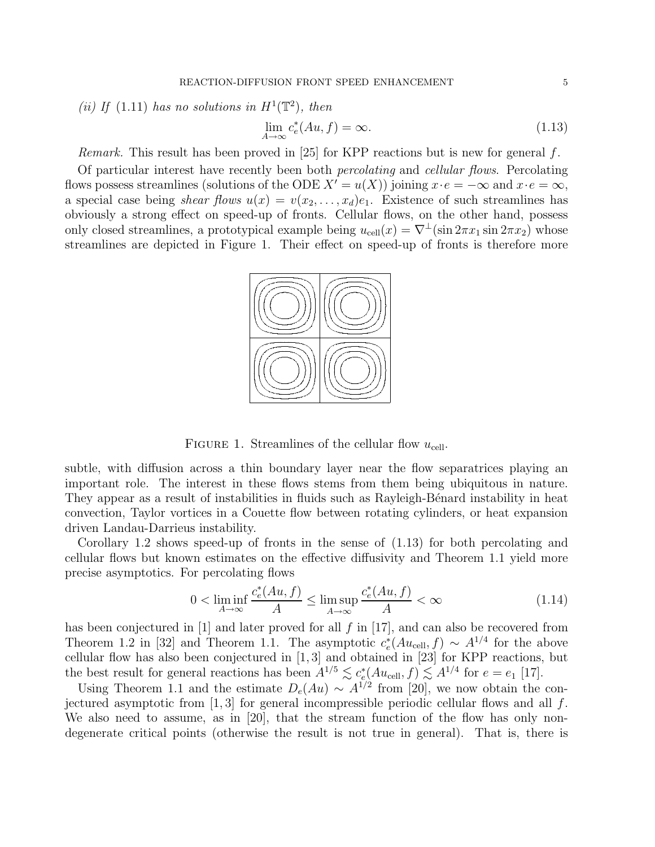(ii) If (1.11) has no solutions in  $H^1(\mathbb{T}^2)$ , then

$$
\lim_{A \to \infty} c_e^*(Au, f) = \infty. \tag{1.13}
$$

*Remark.* This result has been proved in [25] for KPP reactions but is new for general  $f$ .

Of particular interest have recently been both percolating and cellular flows. Percolating flows possess streamlines (solutions of the ODE  $X' = u(X)$ ) joining  $x \cdot e = -\infty$  and  $x \cdot e = \infty$ , a special case being *shear flows*  $u(x) = v(x_2, \ldots, x_d)e_1$ . Existence of such streamlines has obviously a strong effect on speed-up of fronts. Cellular flows, on the other hand, possess only closed streamlines, a prototypical example being  $u_{cell}(x) = \nabla^{\perp}(\sin 2\pi x_1 \sin 2\pi x_2)$  whose streamlines are depicted in Figure 1. Their effect on speed-up of fronts is therefore more



FIGURE 1. Streamlines of the cellular flow  $u_{cell}$ .

subtle, with diffusion across a thin boundary layer near the flow separatrices playing an important role. The interest in these flows stems from them being ubiquitous in nature. They appear as a result of instabilities in fluids such as Rayleigh-Bénard instability in heat convection, Taylor vortices in a Couette flow between rotating cylinders, or heat expansion driven Landau-Darrieus instability.

Corollary 1.2 shows speed-up of fronts in the sense of (1.13) for both percolating and cellular flows but known estimates on the effective diffusivity and Theorem 1.1 yield more precise asymptotics. For percolating flows

$$
0 < \liminf_{A \to \infty} \frac{c_e^*(Au, f)}{A} \le \limsup_{A \to \infty} \frac{c_e^*(Au, f)}{A} < \infty \tag{1.14}
$$

has been conjectured in  $[1]$  and later proved for all f in  $[17]$ , and can also be recovered from Theorem 1.2 in [32] and Theorem 1.1. The asymptotic  $c_e^*(Au_{cell}, f) \sim A^{1/4}$  for the above cellular flow has also been conjectured in [1, 3] and obtained in [23] for KPP reactions, but the best result for general reactions has been  $A^{1/5} \lesssim c_e^*(Au_{cell}, f) \lesssim A^{1/4}$  for  $e = e_1$  [17].

Using Theorem 1.1 and the estimate  $D_e(Au) \sim A^{1/2}$  from [20], we now obtain the conjectured asymptotic from [1,3] for general incompressible periodic cellular flows and all  $f$ . We also need to assume, as in [20], that the stream function of the flow has only nondegenerate critical points (otherwise the result is not true in general). That is, there is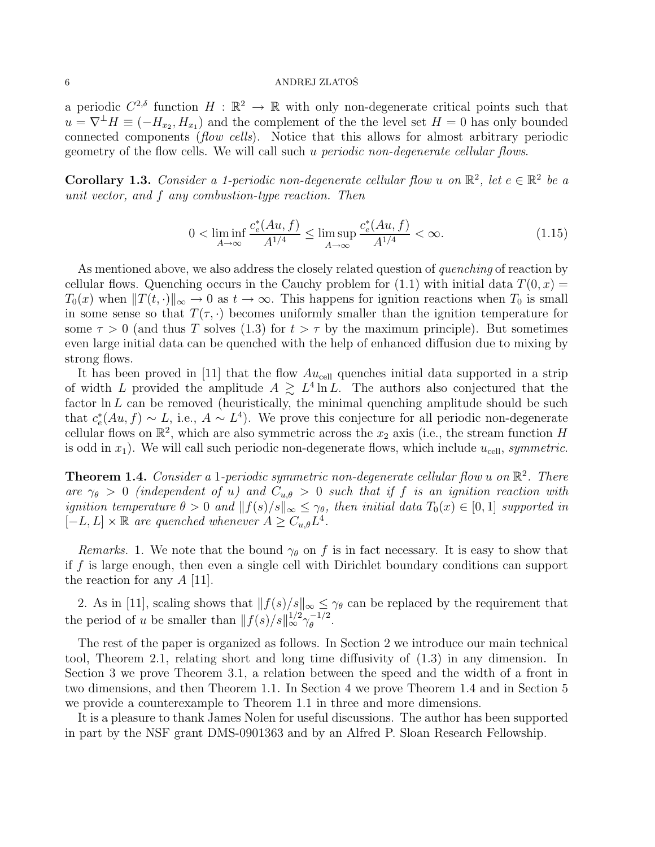a periodic  $C^{2,\delta}$  function  $H : \mathbb{R}^2 \to \mathbb{R}$  with only non-degenerate critical points such that  $u = \nabla^{\perp} H \equiv (-H_{x_2}, H_{x_1})$  and the complement of the the level set  $H = 0$  has only bounded connected components (flow cells). Notice that this allows for almost arbitrary periodic geometry of the flow cells. We will call such u periodic non-degenerate cellular flows.

**Corollary 1.3.** Consider a 1-periodic non-degenerate cellular flow u on  $\mathbb{R}^2$ , let  $e \in \mathbb{R}^2$  be a unit vector, and f any combustion-type reaction. Then

$$
0 < \liminf_{A \to \infty} \frac{c_e^*(Au, f)}{A^{1/4}} \le \limsup_{A \to \infty} \frac{c_e^*(Au, f)}{A^{1/4}} < \infty. \tag{1.15}
$$

As mentioned above, we also address the closely related question of *quenching* of reaction by cellular flows. Quenching occurs in the Cauchy problem for  $(1.1)$  with initial data  $T(0, x) =$  $T_0(x)$  when  $||T(t, \cdot)||_{\infty} \to 0$  as  $t \to \infty$ . This happens for ignition reactions when  $T_0$  is small in some sense so that  $T(\tau, \cdot)$  becomes uniformly smaller than the ignition temperature for some  $\tau > 0$  (and thus T solves (1.3) for  $t > \tau$  by the maximum principle). But sometimes even large initial data can be quenched with the help of enhanced diffusion due to mixing by strong flows.

It has been proved in [11] that the flow  $Au_{\text{cell}}$  quenches initial data supported in a strip of width L provided the amplitude  $A \gtrsim L^4 \ln L$ . The authors also conjectured that the factor  $\ln L$  can be removed (heuristically, the minimal quenching amplitude should be such that  $c_e^*(Au, f) \sim L$ , i.e.,  $A \sim L^4$ ). We prove this conjecture for all periodic non-degenerate cellular flows on  $\mathbb{R}^2$ , which are also symmetric across the  $x_2$  axis (i.e., the stream function H is odd in  $x_1$ ). We will call such periodic non-degenerate flows, which include  $u_{cell}$ , symmetric.

**Theorem 1.4.** Consider a 1-periodic symmetric non-degenerate cellular flow u on  $\mathbb{R}^2$ . There are  $\gamma_{\theta} > 0$  (independent of u) and  $C_{u,\theta} > 0$  such that if f is an ignition reaction with ignition temperature  $\theta > 0$  and  $||f(s)/s||_{\infty} \leq \gamma_{\theta}$ , then initial data  $T_0(x) \in [0, 1]$  supported in  $[-L, L] \times \mathbb{R}$  are quenched whenever  $A \geq C_{u,\theta}L^4$ .

Remarks. 1. We note that the bound  $\gamma_{\theta}$  on f is in fact necessary. It is easy to show that if f is large enough, then even a single cell with Dirichlet boundary conditions can support the reaction for any  $A$  [11].

2. As in [11], scaling shows that  $||f(s)/s||_{\infty} \leq \gamma_{\theta}$  can be replaced by the requirement that the period of u be smaller than  $||f(s)/s||_{\infty}^{1/2} \gamma_{\theta}^{-1/2}$  $\overset{\sim}{\theta}$ <sup>1/2</sup>.

The rest of the paper is organized as follows. In Section 2 we introduce our main technical tool, Theorem 2.1, relating short and long time diffusivity of (1.3) in any dimension. In Section 3 we prove Theorem 3.1, a relation between the speed and the width of a front in two dimensions, and then Theorem 1.1. In Section 4 we prove Theorem 1.4 and in Section 5 we provide a counterexample to Theorem 1.1 in three and more dimensions.

It is a pleasure to thank James Nolen for useful discussions. The author has been supported in part by the NSF grant DMS-0901363 and by an Alfred P. Sloan Research Fellowship.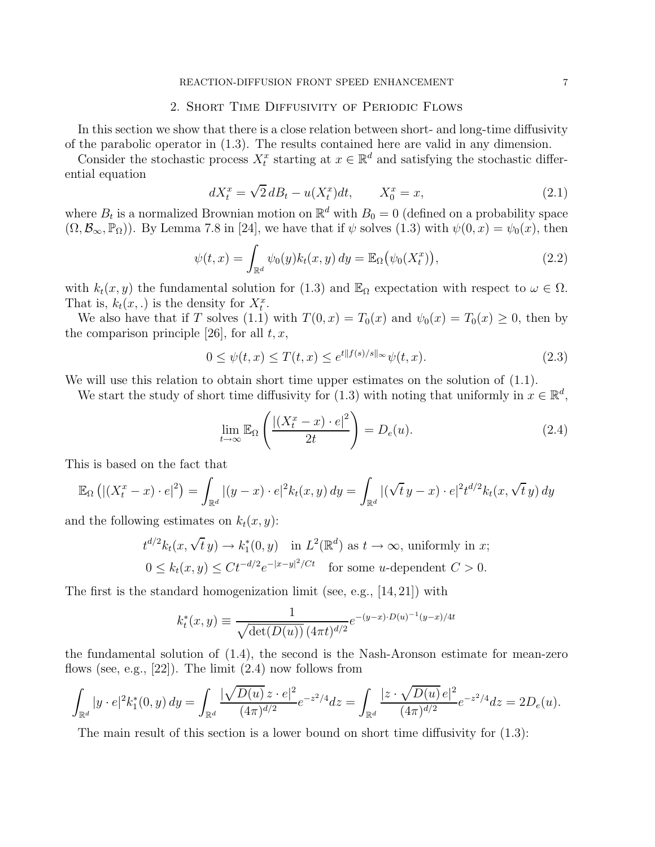### 2. Short Time Diffusivity of Periodic Flows

In this section we show that there is a close relation between short- and long-time diffusivity of the parabolic operator in (1.3). The results contained here are valid in any dimension.

Consider the stochastic process  $X_t^x$  starting at  $x \in \mathbb{R}^d$  and satisfying the stochastic differential equation

$$
dX_t^x = \sqrt{2} dB_t - u(X_t^x)dt, \qquad X_0^x = x,\tag{2.1}
$$

where  $B_t$  is a normalized Brownian motion on  $\mathbb{R}^d$  with  $B_0 = 0$  (defined on a probability space  $(\Omega, \mathcal{B}_{\infty}, \mathbb{P}_{\Omega})$ . By Lemma 7.8 in [24], we have that if  $\psi$  solves  $(1.3)$  with  $\psi(0, x) = \psi_0(x)$ , then

$$
\psi(t,x) = \int_{\mathbb{R}^d} \psi_0(y) k_t(x,y) dy = \mathbb{E}_{\Omega} \big( \psi_0(X_t^x) \big), \tag{2.2}
$$

with  $k_t(x, y)$  the fundamental solution for (1.3) and  $\mathbb{E}_{\Omega}$  expectation with respect to  $\omega \in \Omega$ . That is,  $k_t(x,.)$  is the density for  $X_t^x$ .

We also have that if T solves (1.1) with  $T(0, x) = T_0(x)$  and  $\psi_0(x) = T_0(x) \geq 0$ , then by the comparison principle [26], for all  $t, x$ ,

$$
0 \le \psi(t, x) \le T(t, x) \le e^{t||f(s)/s||_{\infty}} \psi(t, x). \tag{2.3}
$$

We will use this relation to obtain short time upper estimates on the solution of  $(1.1)$ .

We start the study of short time diffusivity for (1.3) with noting that uniformly in  $x \in \mathbb{R}^d$ ,

$$
\lim_{t \to \infty} \mathbb{E}_{\Omega} \left( \frac{\left| \left( X_t^x - x \right) \cdot e \right|^2}{2t} \right) = D_e(u). \tag{2.4}
$$

This is based on the fact that

$$
\mathbb{E}_{\Omega}\left(\left|\left(X_t^x - x\right) \cdot e\right|^2\right) = \int_{\mathbb{R}^d} |(y - x) \cdot e|^2 k_t(x, y) \, dy = \int_{\mathbb{R}^d} |(\sqrt{t} \, y - x) \cdot e|^2 t^{d/2} k_t(x, \sqrt{t} \, y) \, dy
$$

and the following estimates on  $k_t(x, y)$ :

$$
t^{d/2}k_t(x,\sqrt{t}y) \to k_1^*(0,y) \text{ in } L^2(\mathbb{R}^d) \text{ as } t \to \infty \text{, uniformly in } x;
$$
  

$$
0 \le k_t(x,y) \le Ct^{-d/2}e^{-|x-y|^2/Ct} \text{ for some } u\text{-dependent } C > 0.
$$

The first is the standard homogenization limit (see, e.g.,  $(14, 21)$ ) with

$$
k_t^*(x, y) \equiv \frac{1}{\sqrt{\det(D(u))} (4\pi t)^{d/2}} e^{-(y-x)\cdot D(u)^{-1}(y-x)/4t}
$$

the fundamental solution of (1.4), the second is the Nash-Aronson estimate for mean-zero flows (see, e.g.,  $[22]$ ). The limit  $(2.4)$  now follows from

$$
\int_{\mathbb{R}^d} |y \cdot e|^2 k_1^*(0, y) dy = \int_{\mathbb{R}^d} \frac{|\sqrt{D(u)} z \cdot e|^2}{(4\pi)^{d/2}} e^{-z^2/4} dz = \int_{\mathbb{R}^d} \frac{|z \cdot \sqrt{D(u)} e|^2}{(4\pi)^{d/2}} e^{-z^2/4} dz = 2D_e(u).
$$

The main result of this section is a lower bound on short time diffusivity for (1.3):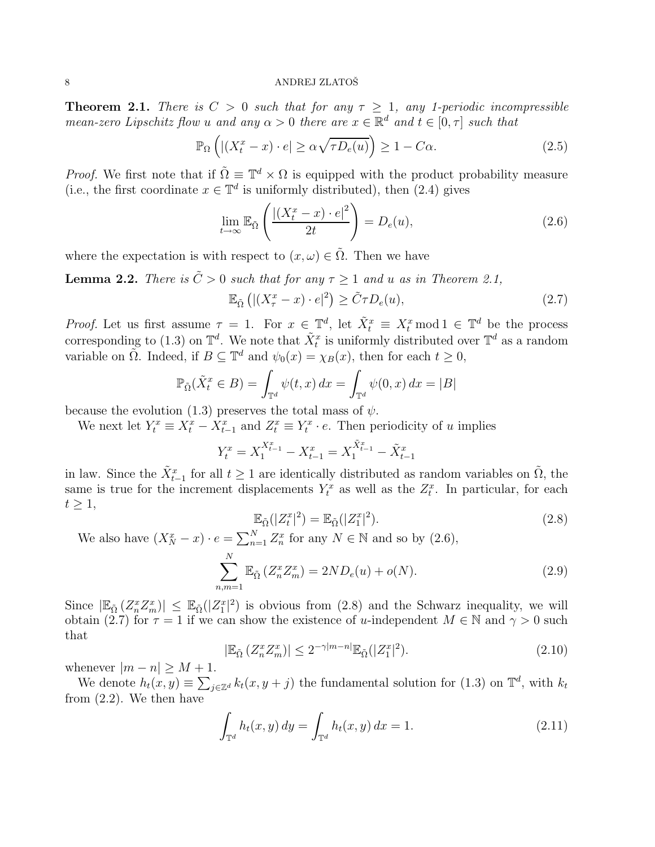**Theorem 2.1.** There is  $C > 0$  such that for any  $\tau \geq 1$ , any 1-periodic incompressible mean-zero Lipschitz flow u and any  $\alpha > 0$  there are  $x \in \mathbb{R}^d$  and  $t \in [0, \tau]$  such that

$$
\mathbb{P}_{\Omega}\left(\left|\left(X_t^x - x\right) \cdot e\right| \ge \alpha \sqrt{\tau D_e(u)}\right) \ge 1 - C\alpha. \tag{2.5}
$$

*Proof.* We first note that if  $\tilde{\Omega} \equiv \mathbb{T}^d \times \Omega$  is equipped with the product probability measure (i.e., the first coordinate  $x \in \mathbb{T}^d$  is uniformly distributed), then (2.4) gives

$$
\lim_{t \to \infty} \mathbb{E}_{\tilde{\Omega}} \left( \frac{|(X_t^x - x) \cdot e|^2}{2t} \right) = D_e(u),\tag{2.6}
$$

where the expectation is with respect to  $(x, \omega) \in \tilde{\Omega}$ . Then we have

**Lemma 2.2.** There is  $\tilde{C} > 0$  such that for any  $\tau > 1$  and u as in Theorem 2.1,

$$
\mathbb{E}_{\tilde{\Omega}}\left(\left|\left(X_{\tau}^x - x\right) \cdot e\right|^2\right) \ge \tilde{C}\tau D_e(u),\tag{2.7}
$$

*Proof.* Let us first assume  $\tau = 1$ . For  $x \in \mathbb{T}^d$ , let  $\tilde{X}_t^x \equiv X_t^x \mod 1 \in \mathbb{T}^d$  be the process corresponding to (1.3) on  $\mathbb{T}^d$ . We note that  $\tilde{X}_t^x$  is uniformly distributed over  $\mathbb{T}^d$  as a random variable on  $\tilde{\Omega}$ . Indeed, if  $B \subseteq \mathbb{T}^d$  and  $\psi_0(x) = \chi_B(x)$ , then for each  $t \geq 0$ ,

$$
\mathbb{P}_{\tilde{\Omega}}(\tilde{X}^x_t \in B) = \int_{\mathbb{T}^d} \psi(t, x) dx = \int_{\mathbb{T}^d} \psi(0, x) dx = |B|
$$

because the evolution (1.3) preserves the total mass of  $\psi$ .

We next let  $Y_t^x \equiv X_t^x - X_{t-1}^x$  and  $Z_t^x \equiv Y_t^x \cdot e$ . Then periodicity of u implies

$$
Y_t^x = X_1^{X_{t-1}^x} - X_{t-1}^x = X_1^{\tilde{X}_{t-1}^x} - \tilde{X}_{t-1}^x
$$

in law. Since the  $\tilde{X}_{t-1}^x$  for all  $t \geq 1$  are identically distributed as random variables on  $\tilde{\Omega}$ , the same is true for the increment displacements  $Y_t^x$  as well as the  $Z_t^x$ . In particular, for each  $t \geq 1$ ,

$$
\mathbb{E}_{\tilde{\Omega}}(|Z_t^x|^2) = \mathbb{E}_{\tilde{\Omega}}(|Z_1^x|^2). \tag{2.8}
$$

We also have  $(X_N^x - x) \cdot e = \sum_{n=1}^N Z_n^x$  for any  $N \in \mathbb{N}$  and so by  $(2.6)$ ,

$$
\sum_{n,m=1}^{N} \mathbb{E}_{\tilde{\Omega}} \left( Z_n^x Z_m^x \right) = 2ND_e(u) + o(N). \tag{2.9}
$$

Since  $|\mathbb{E}_{\tilde{\Omega}}(Z_n^x Z_m^x)| \leq \mathbb{E}_{\tilde{\Omega}}(|Z_1^x|^2)$  is obvious from (2.8) and the Schwarz inequality, we will obtain (2.7) for  $\tau = 1$  if we can show the existence of u-independent  $M \in \mathbb{N}$  and  $\gamma > 0$  such that

$$
|\mathbb{E}_{\tilde{\Omega}}\left(Z_n^x Z_m^x\right)| \le 2^{-\gamma|m-n|} \mathbb{E}_{\tilde{\Omega}}(|Z_1^x|^2). \tag{2.10}
$$

whenever  $|m - n| \geq M + 1$ .

We denote  $h_t(x, y) \equiv \sum_{j \in \mathbb{Z}^d} k_t(x, y + j)$  the fundamental solution for (1.3) on  $\mathbb{T}^d$ , with  $k_t$ from (2.2). We then have

$$
\int_{\mathbb{T}^d} h_t(x, y) \, dy = \int_{\mathbb{T}^d} h_t(x, y) \, dx = 1. \tag{2.11}
$$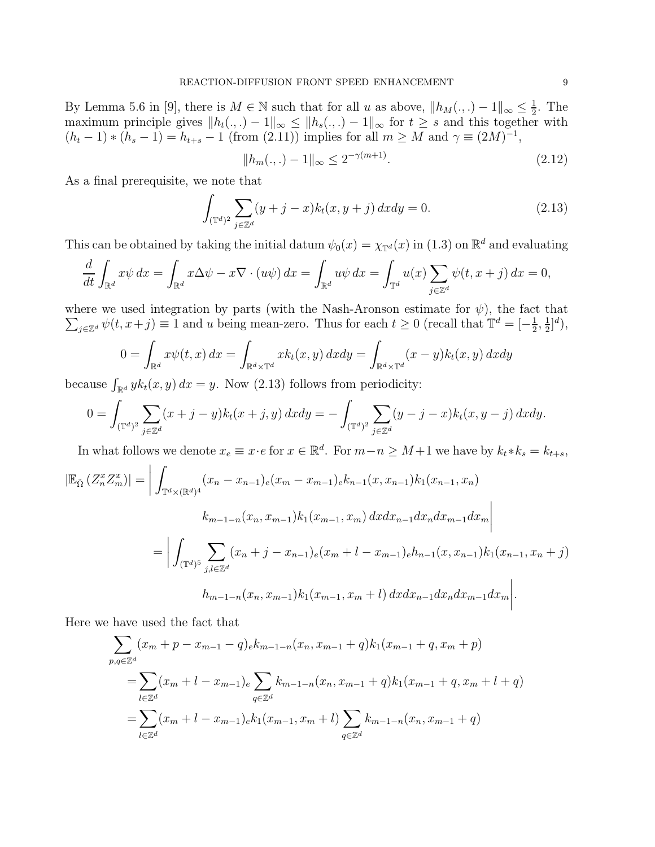By Lemma 5.6 in [9], there is  $M \in \mathbb{N}$  such that for all u as above,  $||h_M(.,.) - 1||_{\infty} \le \frac{1}{2}$  $\frac{1}{2}$ . The maximum principle gives  $||h_t(.,.) - 1||_{\infty} \le ||h_s(.,.) - 1||_{\infty}$  for  $t \ge s$  and this together with  $(h_t - 1) * (h_s - 1) = h_{t+s} - 1$  (from (2.11)) implies for all  $m \ge M$  and  $\gamma \equiv (2M)^{-1}$ ,

$$
||h_m(.,.) - 1||_{\infty} \le 2^{-\gamma(m+1)}.
$$
\n(2.12)

As a final prerequisite, we note that

$$
\int_{(\mathbb{T}^d)^2} \sum_{j \in \mathbb{Z}^d} (y + j - x) k_t(x, y + j) \, dx dy = 0. \tag{2.13}
$$

This can be obtained by taking the initial datum  $\psi_0(x) = \chi_{\mathbb{T}^d}(x)$  in (1.3) on  $\mathbb{R}^d$  and evaluating

$$
\frac{d}{dt} \int_{\mathbb{R}^d} x \psi \, dx = \int_{\mathbb{R}^d} x \Delta \psi - x \nabla \cdot (u\psi) \, dx = \int_{\mathbb{R}^d} u \psi \, dx = \int_{\mathbb{T}^d} u(x) \sum_{j \in \mathbb{Z}^d} \psi(t, x + j) \, dx = 0,
$$

 $\sum_{j\in\mathbb{Z}^d} \psi(t, x+j) \equiv 1$  and u being mean-zero. Thus for each  $t \geq 0$  (recall that  $\mathbb{T}^d = \left[-\frac{1}{2}\right]$ where we used integration by parts (with the Nash-Aronson estimate for  $\psi$ ), the fact that  $\frac{1}{2}, \frac{1}{2}$  $\frac{1}{2}$ ]<sup>d</sup>),

$$
0 = \int_{\mathbb{R}^d} x \psi(t, x) dx = \int_{\mathbb{R}^d \times \mathbb{T}^d} x k_t(x, y) dx dy = \int_{\mathbb{R}^d \times \mathbb{T}^d} (x - y) k_t(x, y) dx dy
$$

because  $\int_{\mathbb{R}^d} y k_t(x, y) dx = y$ . Now (2.13) follows from periodicity:

$$
0 = \int_{(\mathbb{T}^d)^2} \sum_{j \in \mathbb{Z}^d} (x + j - y) k_t(x + j, y) \, dx dy = - \int_{(\mathbb{T}^d)^2} \sum_{j \in \mathbb{Z}^d} (y - j - x) k_t(x, y - j) \, dx dy.
$$

In what follows we denote  $x_e \equiv x \cdot e$  for  $x \in \mathbb{R}^d$ . For  $m-n \geq M+1$  we have by  $k_t * k_s = k_{t+s}$ ,

$$
|\mathbb{E}_{\tilde{\Omega}}(Z_n^x Z_m^x)| = \left| \int_{\mathbb{T}^d \times (\mathbb{R}^d)^4} (x_n - x_{n-1})_e(x_m - x_{m-1})_e k_{n-1}(x, x_{n-1}) k_1(x_{n-1}, x_n) \right|
$$
  
\n
$$
k_{m-1-n}(x_n, x_{m-1}) k_1(x_{m-1}, x_m) dx dx_{n-1} dx_n dx_{m-1} dx_m \Big|
$$
  
\n
$$
= \left| \int_{(\mathbb{T}^d)^5} \sum_{j,l \in \mathbb{Z}^d} (x_n + j - x_{n-1})_e(x_m + l - x_{m-1})_e h_{n-1}(x, x_{n-1}) k_1(x_{n-1}, x_n + j) \right|
$$
  
\n
$$
h_{m-1-n}(x_n, x_{m-1}) k_1(x_{m-1}, x_m + l) dx dx_{n-1} dx_n dx_{m-1} dx_m \Big|.
$$

Here we have used the fact that

$$
\sum_{p,q\in\mathbb{Z}^d} (x_m + p - x_{m-1} - q)_e k_{m-1-n}(x_n, x_{m-1} + q) k_1(x_{m-1} + q, x_m + p)
$$
\n
$$
= \sum_{l\in\mathbb{Z}^d} (x_m + l - x_{m-1})_e \sum_{q\in\mathbb{Z}^d} k_{m-1-n}(x_n, x_{m-1} + q) k_1(x_{m-1} + q, x_m + l + q)
$$
\n
$$
= \sum_{l\in\mathbb{Z}^d} (x_m + l - x_{m-1})_e k_1(x_{m-1}, x_m + l) \sum_{q\in\mathbb{Z}^d} k_{m-1-n}(x_n, x_{m-1} + q)
$$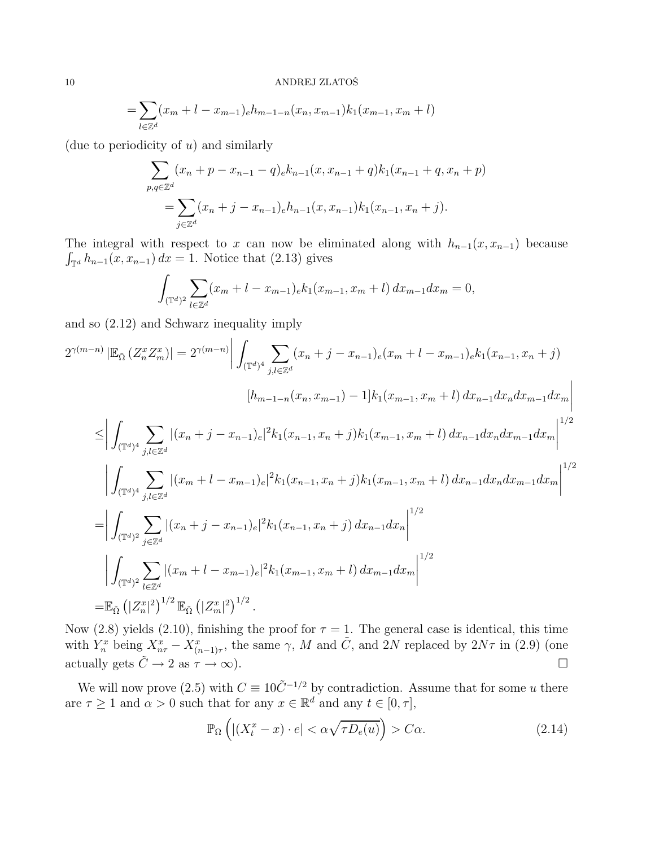# ${\large \bf ANDREJ\ ZLATO\check{\bf S}}$

$$
= \sum_{l \in \mathbb{Z}^d} (x_m + l - x_{m-1})_e h_{m-1-n}(x_n, x_{m-1}) k_1(x_{m-1}, x_m + l)
$$

(due to periodicity of  $u$ ) and similarly

$$
\sum_{p,q\in\mathbb{Z}^d} (x_n + p - x_{n-1} - q)_e k_{n-1}(x, x_{n-1} + q) k_1(x_{n-1} + q, x_n + p)
$$
  
= 
$$
\sum_{j\in\mathbb{Z}^d} (x_n + j - x_{n-1})_e h_{n-1}(x, x_{n-1}) k_1(x_{n-1}, x_n + j).
$$

The integral with respect to x can now be eliminated along with  $h_{n-1}(x, x_{n-1})$  because  $\int_{\mathbb{T}^d} h_{n-1}(x, x_{n-1}) dx = 1$ . Notice that (2.13) gives

$$
\int_{(\mathbb{T}^d)^2} \sum_{l \in \mathbb{Z}^d} (x_m + l - x_{m-1}) \, d\mathfrak{x}_{m-1}, x_m + l) \, dx_{m-1} \, dx_m = 0,
$$

and so (2.12) and Schwarz inequality imply

$$
2^{\gamma(m-n)} |\mathbb{E}_{\tilde{\Omega}} (Z_n^x Z_m^x)| = 2^{\gamma(m-n)} \Big| \int_{(\mathbb{T}^d)^4} \sum_{j,l \in \mathbb{Z}^d} (x_n + j - x_{n-1})_e (x_m + l - x_{m-1})_e k_1(x_{n-1}, x_n + j)
$$
  
\n
$$
[h_{m-1-n}(x_n, x_{m-1}) - 1] k_1(x_{m-1}, x_m + l) dx_{n-1} dx_n dx_{m-1} dx_m \Big|
$$
  
\n
$$
\leq \Big| \int_{(\mathbb{T}^d)^4} \sum_{j,l \in \mathbb{Z}^d} |(x_n + j - x_{n-1})_e|^2 k_1(x_{n-1}, x_n + j) k_1(x_{m-1}, x_m + l) dx_{n-1} dx_n dx_{m-1} dx_m \Big|^{1/2}
$$
  
\n
$$
\Big| \int_{(\mathbb{T}^d)^4} \sum_{j,l \in \mathbb{Z}^d} |(x_m + l - x_{m-1})_e|^2 k_1(x_{n-1}, x_n + j) k_1(x_{m-1}, x_m + l) dx_{n-1} dx_n dx_{m-1} dx_m \Big|^{1/2}
$$
  
\n
$$
= \Big| \int_{(\mathbb{T}^d)^2} \sum_{j \in \mathbb{Z}^d} |(x_n + j - x_{n-1})_e|^2 k_1(x_{n-1}, x_n + j) dx_{n-1} dx_n \Big|^{1/2}
$$
  
\n
$$
\Big| \int_{(\mathbb{T}^d)^2} \sum_{l \in \mathbb{Z}^d} |(x_m + l - x_{m-1})_e|^2 k_1(x_{m-1}, x_m + l) dx_{m-1} dx_m \Big|^{1/2}
$$
  
\n
$$
= \mathbb{E}_{\tilde{\Omega}} (|Z_n^x|^2)^{1/2} \mathbb{E}_{\tilde{\Omega}} (|Z_m^x|^2)^{1/2}.
$$

Now (2.8) yields (2.10), finishing the proof for  $\tau = 1$ . The general case is identical, this time with  $Y_n^x$  being  $X_{n\tau}^x - X_{(n-1)\tau}^x$ , the same  $\gamma$ , M and  $\tilde{C}$ , and  $2N$  replaced by  $2N\tau$  in (2.9) (one actually gets  $\tilde{C} \to 2$  as  $\tau \to \infty$ ).

We will now prove (2.5) with  $C \equiv 10\tilde{C}^{-1/2}$  by contradiction. Assume that for some u there are  $\tau \ge 1$  and  $\alpha > 0$  such that for any  $x \in \mathbb{R}^d$  and any  $t \in [0, \tau]$ ,

$$
\mathbb{P}_{\Omega}\left(\left|\left(X_t^x - x\right) \cdot e\right| < \alpha \sqrt{\tau D_e(u)}\right) > C\alpha. \tag{2.14}
$$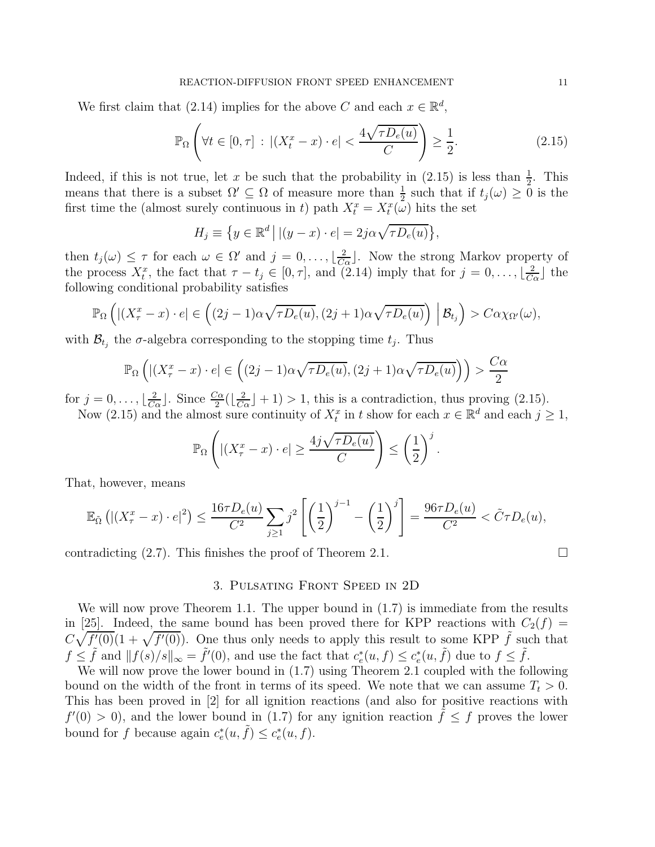We first claim that (2.14) implies for the above C and each  $x \in \mathbb{R}^d$ ,

$$
\mathbb{P}_{\Omega}\left(\forall t \in [0,\tau] : |(X_t^x - x) \cdot e| < \frac{4\sqrt{\tau D_e(u)}}{C} \right) \ge \frac{1}{2}.\tag{2.15}
$$

Indeed, if this is not true, let x be such that the probability in  $(2.15)$  is less than  $\frac{1}{2}$ . This means that there is a subset  $\Omega' \subseteq \Omega$  of measure more than  $\frac{1}{2}$  such that if  $t_j(\omega) \geq 0$  is the first time the (almost surely continuous in t) path  $X_t^x = X_t^x(\omega)$  hits the set

$$
H_j \equiv \{ y \in \mathbb{R}^d \, \big| \, |(y - x) \cdot e| = 2j\alpha \sqrt{\tau D_e(u)} \},
$$

then  $t_j(\omega) \leq \tau$  for each  $\omega \in \Omega'$  and  $j = 0, \ldots, \lfloor \frac{2}{C\alpha} \rfloor$ . Now the strong Markov property of the process  $X_t^x$ , the fact that  $\tau - t_j \in [0, \tau]$ , and (2.14) imply that for  $j = 0, \ldots, \lfloor \frac{2}{C\alpha} \rfloor$  the following conditional probability satisfies

$$
\mathbb{P}_{\Omega}\left(\left|\left(X_{\tau}^{x}-x\right)\cdot e\right|\in\left((2j-1)\alpha\sqrt{\tau D_{e}(u)},(2j+1)\alpha\sqrt{\tau D_{e}(u)}\right)\Big|B_{t_{j}}\right)>C\alpha\chi_{\Omega'}(\omega),
$$

with  $\mathcal{B}_{t_j}$  the  $\sigma$ -algebra corresponding to the stopping time  $t_j$ . Thus

$$
\mathbb{P}_{\Omega}\left(\left|\left(X_{\tau}^{x}-x\right)\cdot e\right| \in \left(\left(2j-1\right)\alpha\sqrt{\tau D_{e}(u)},\left(2j+1\right)\alpha\sqrt{\tau D_{e}(u)}\right)\right) > \frac{C\alpha}{2}
$$

for  $j = 0, \ldots, \lfloor \frac{2}{C\alpha} \rfloor$ . Since  $\frac{C\alpha}{2}(\lfloor \frac{2}{C\alpha} \rfloor + 1) > 1$ , this is a contradiction, thus proving (2.15). Now (2.15) and the almost sure continuity of  $X_t^x$  in t show for each  $x \in \mathbb{R}^d$  and each  $j \ge 1$ ,

$$
\mathbb{P}_{\Omega}\left(\left|\left(X_{\tau}^{x}-x\right)\cdot e\right|\geq \frac{4j\sqrt{\tau D_{e}(u)}}{C}\right)\leq \left(\frac{1}{2}\right)^{j}.
$$

That, however, means

$$
\mathbb{E}_{\tilde{\Omega}}\left(\left|\left(X_{\tau}^{x}-x\right)\cdot e\right|^{2}\right) \leq \frac{16\tau D_{e}(u)}{C^{2}}\sum_{j\geq 1}j^{2}\left[\left(\frac{1}{2}\right)^{j-1}-\left(\frac{1}{2}\right)^{j}\right] = \frac{96\tau D_{e}(u)}{C^{2}} < \tilde{C}\tau D_{e}(u),
$$

contradicting  $(2.7)$ . This finishes the proof of Theorem 2.1.

3. Pulsating Front Speed in 2D

We will now prove Theorem 1.1. The upper bound in  $(1.7)$  is immediate from the results in [25]. Indeed, the same bound has been proved there for KPP reactions with  $C_2(f)$  =  $C\sqrt{f'(0)}(1+\sqrt{f'(0)})$ . One thus only needs to apply this result to some KPP  $\tilde{f}$  such that  $f \leq \tilde{f}$  and  $||f(s)/s||_{\infty} = \tilde{f}'(0)$ , and use the fact that  $c_e^*(u, f) \leq c_e^*(u, \tilde{f})$  due to  $f \leq \tilde{f}$ .

We will now prove the lower bound in (1.7) using Theorem 2.1 coupled with the following bound on the width of the front in terms of its speed. We note that we can assume  $T<sub>t</sub> > 0$ . This has been proved in [2] for all ignition reactions (and also for positive reactions with  $f'(0) > 0$ , and the lower bound in (1.7) for any ignition reaction  $\tilde{f} \leq f$  proves the lower bound for f because again  $c_e^*(u, \tilde{f}) \leq c_e^*(u, f)$ .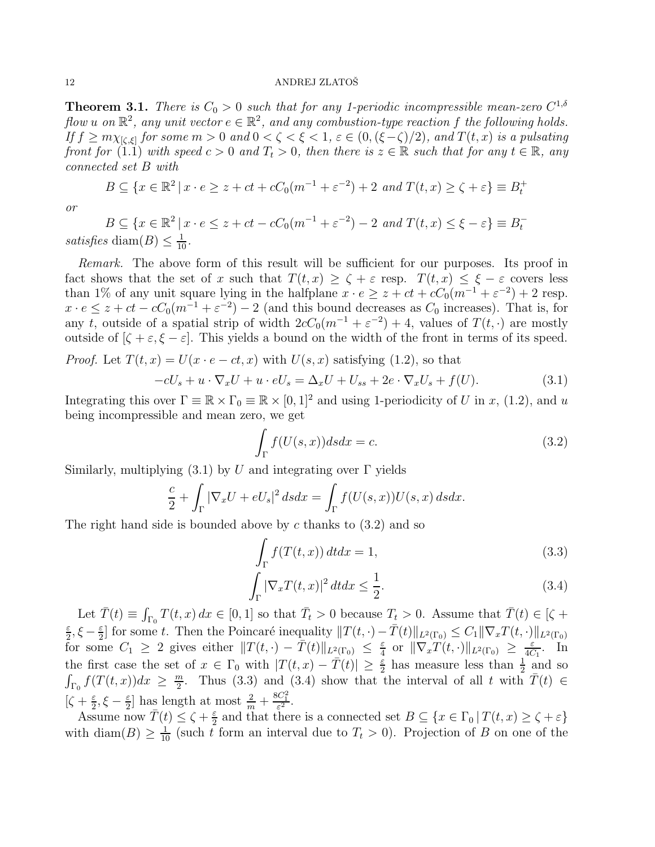**Theorem 3.1.** There is  $C_0 > 0$  such that for any 1-periodic incompressible mean-zero  $C^{1,\delta}$ flow u on  $\mathbb{R}^2$ , any unit vector  $e \in \mathbb{R}^2$ , and any combustion-type reaction f the following holds. If  $f \geq m \chi_{[\zeta,\xi]}$  for some  $m > 0$  and  $0 < \zeta < \xi < 1$ ,  $\varepsilon \in (0,(\xi-\zeta)/2)$ , and  $T(t,x)$  is a pulsating front for (1.1) with speed  $c > 0$  and  $T_t > 0$ , then there is  $z \in \mathbb{R}$  such that for any  $t \in \mathbb{R}$ , any connected set B with

$$
B \subseteq \{x \in \mathbb{R}^2 \mid x \cdot e \ge z + ct + cC_0(m^{-1} + \varepsilon^{-2}) + 2 \text{ and } T(t, x) \ge \zeta + \varepsilon\} \equiv B_t^+
$$

or

$$
B \subseteq \{x \in \mathbb{R}^2 \mid x \cdot e \le z + ct - cC_0(m^{-1} + \varepsilon^{-2}) - 2 \text{ and } T(t, x) \le \xi - \varepsilon\} \equiv B_t^{-}
$$
  
satisfies diam $(B) \le \frac{1}{10}$ .

Remark. The above form of this result will be sufficient for our purposes. Its proof in fact shows that the set of x such that  $T(t,x) \geq \zeta + \varepsilon$  resp.  $T(t,x) \leq \xi - \varepsilon$  covers less than 1% of any unit square lying in the halfplane  $x \cdot e \geq z + ct + cC_0(m^{-1} + \varepsilon^{-2}) + 2$  resp.  $x \cdot e \leq z + ct - cC_0(m^{-1} + \varepsilon^{-2}) - 2$  (and this bound decreases as  $C_0$  increases). That is, for any t, outside of a spatial strip of width  $2cC_0(m^{-1} + \varepsilon^{-2}) + 4$ , values of  $T(t, \cdot)$  are mostly outside of  $[\zeta + \varepsilon, \xi - \varepsilon]$ . This yields a bound on the width of the front in terms of its speed.

*Proof.* Let 
$$
T(t, x) = U(x \cdot e - ct, x)
$$
 with  $U(s, x)$  satisfying (1.2), so that

$$
-cU_s + u \cdot \nabla_x U + u \cdot eU_s = \Delta_x U + U_{ss} + 2e \cdot \nabla_x U_s + f(U). \tag{3.1}
$$

Integrating this over  $\Gamma \equiv \mathbb{R} \times \Gamma_0 \equiv \mathbb{R} \times [0, 1]^2$  and using 1-periodicity of U in x, (1.2), and u being incompressible and mean zero, we get

$$
\int_{\Gamma} f(U(s, x)) ds dx = c.
$$
\n(3.2)

Similarly, multiplying  $(3.1)$  by U and integrating over  $\Gamma$  yields

$$
\frac{c}{2} + \int_{\Gamma} |\nabla_x U + eU_s|^2 ds dx = \int_{\Gamma} f(U(s, x))U(s, x) ds dx.
$$

The right hand side is bounded above by c thanks to  $(3.2)$  and so

$$
\int_{\Gamma} f(T(t,x)) \, dt dx = 1,\tag{3.3}
$$

$$
\int_{\Gamma} |\nabla_x T(t, x)|^2 dt dx \le \frac{1}{2}.
$$
\n(3.4)

Let  $\bar{T}(t) \equiv \int_{\Gamma_0} T(t, x) dx \in [0, 1]$  so that  $\bar{T}_t > 0$  because  $T_t > 0$ . Assume that  $\bar{T}(t) \in [\zeta + \zeta]$ ε  $\frac{\varepsilon}{2}, \xi - \frac{\varepsilon}{2}$  $\frac{\varepsilon}{2}$  for some t. Then the Poincaré inequality  $||T(t, \cdot) - \bar{T}(t)||_{L^2(\Gamma_0)} \leq C_1 ||\nabla_x T(t, \cdot)||_{L^2(\Gamma_0)}$ for some  $C_1 \geq 2$  gives either  $||T(t, \cdot) - \bar{T}(t)||_{L^2(\Gamma_0)} \leq \frac{\varepsilon}{4}$  $\frac{\varepsilon}{4}$  or  $\|\nabla_x T(t,\cdot)\|_{L^2(\Gamma_0)} \geq \frac{\varepsilon}{4C}$  $\frac{\varepsilon}{4C_1}$ . In the first case the set of  $x \in \Gamma_0$  with  $|T(t,x) - \overline{T}(t)| \geq \frac{\varepsilon}{2}$  has measure less than  $\frac{1}{2}$  and so  $\int_{\Gamma_0} f(T(t,x))dx \geq \frac{m}{2}$  $\frac{m}{2}$ . Thus (3.3) and (3.4) show that the interval of all t with  $\overline{T}(t) \in$  $\left[\zeta+\frac{\varepsilon}{2}\right]$  $\frac{\varepsilon}{2}, \xi - \frac{\varepsilon}{2}$  $\frac{\varepsilon}{2}$  has length at most  $\frac{2}{m} + \frac{8C_1^2}{\varepsilon^2}$ .

Assume now  $\overline{T}(t) \leq \zeta + \frac{\varepsilon}{2}$  $\frac{\varepsilon}{2}$  and that there is a connected set  $B \subseteq \{x \in \Gamma_0 \mid T(t,x) \ge \zeta + \varepsilon\}$ with diam( $B$ )  $\geq \frac{1}{10}$  (such t form an interval due to  $T_t > 0$ ). Projection of B on one of the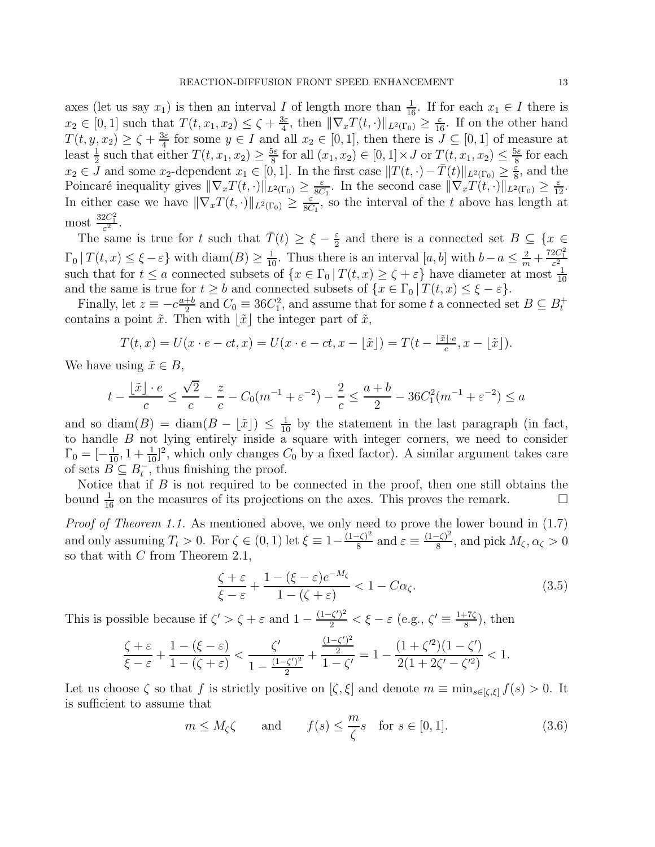axes (let us say  $x_1$ ) is then an interval I of length more than  $\frac{1}{16}$ . If for each  $x_1 \in I$  there is  $x_2 \in [0, 1]$  such that  $T(t, x_1, x_2) \le \zeta + \frac{3\varepsilon}{4}$  $\frac{3\varepsilon}{4}$ , then  $\|\nabla_x T(t, \cdot)\|_{L^2(\Gamma_0)} \geq \frac{\varepsilon}{16}$ . If on the other hand  $T(t, y, x_2) \ge \zeta + \frac{3\varepsilon}{4}$  $\frac{3\varepsilon}{4}$  for some  $y \in I$  and all  $x_2 \in [0,1]$ , then there is  $J \subseteq [0,1]$  of measure at least  $\frac{1}{2}$  such that either  $T(t, x_1, x_2) \geq \frac{5\varepsilon}{8}$  $\frac{5\varepsilon}{8}$  for all  $(x_1, x_2) \in [0, 1] \times J$  or  $T(t, x_1, x_2) \leq \frac{5\varepsilon}{8}$  $\frac{6}{8}$  for each  $x_2 \in \overline{J}$  and some  $x_2$ -dependent  $x_1 \in [0, 1]$ . In the first case  $||T(t, \cdot) - \overline{T}(t)||_{L^2(\Gamma_0)} \ge \frac{\varepsilon}{8}$  $\frac{\varepsilon}{8}$ , and the Poincaré inequality gives  $\|\nabla_x T(t, \cdot)\|_{L^2(\Gamma_0)} \geq \frac{\varepsilon}{8C}$  $\frac{\varepsilon}{8C_1}$ . In the second case  $\|\nabla_x T(t, \cdot)\|_{L^2(\Gamma_0)} \geq \frac{\varepsilon}{12}$ . In either case we have  $\|\nabla_x T(t, \cdot)\|_{L^2(\Gamma_0)} \geq \frac{\varepsilon}{8C}$  $\frac{\varepsilon}{8C_1}$ , so the interval of the t above has length at most  $\frac{32C_1^2}{\varepsilon^2}$ .

The same is true for t such that  $\overline{T}(t) \geq \xi - \frac{\varepsilon}{2}$  $\frac{\varepsilon}{2}$  and there is a connected set  $B \subseteq \{x \in \mathbb{R}^n\}$  $\Gamma_0 | T(t,x) \leq \xi - \varepsilon$  with  $\text{diam}(B) \geq \frac{1}{10}$ . Thus there is an interval  $[a, b]$  with  $b-a \leq \frac{2}{m} + \frac{72C_1^2}{\varepsilon^2}$ such that for  $t \le a$  connected subsets of  $\{x \in \Gamma_0 \mid T(t,x) \ge \zeta + \varepsilon\}$  have diameter at most  $\frac{1}{10}$ and the same is true for  $t \geq b$  and connected subsets of  $\{x \in \Gamma_0 \mid T(t, x) \leq \xi - \varepsilon\}.$ 

Finally, let  $z \equiv -c \frac{a+b}{2}$  $\frac{+b}{2}$  and  $C_0 \equiv 36C_1^2$ , and assume that for some t a connected set  $B \subseteq B_t^+$ contains a point  $\tilde{x}$ . Then with  $\lfloor \tilde{x} \rfloor$  the integer part of  $\tilde{x}$ ,

$$
T(t,x) = U(x \cdot e - ct, x) = U(x \cdot e - ct, x - \lfloor \tilde{x} \rfloor) = T(t - \frac{\lfloor \tilde{x} \rfloor \cdot e}{c}, x - \lfloor \tilde{x} \rfloor).
$$

We have using  $\tilde{x} \in B$ ,

$$
t - \frac{\lfloor \tilde{x} \rfloor \cdot e}{c} \le \frac{\sqrt{2}}{c} - \frac{z}{c} - C_0(m^{-1} + \varepsilon^{-2}) - \frac{2}{c} \le \frac{a+b}{2} - 36C_1^2(m^{-1} + \varepsilon^{-2}) \le a
$$

and so  $\text{diam}(B) = \text{diam}(B - \lfloor \tilde{x} \rfloor) \leq \frac{1}{10}$  by the statement in the last paragraph (in fact, to handle  $B$  not lying entirely inside  $\alpha$  square with integer corners, we need to consider  $\Gamma_0 = \left[-\frac{1}{10}, 1 + \frac{1}{10}\right]^2$ , which only changes  $C_0$  by a fixed factor). A similar argument takes care of sets  $B \subseteq B_t^-$ , thus finishing the proof.

Notice that if  $B$  is not required to be connected in the proof, then one still obtains the bound  $\frac{1}{16}$  on the measures of its projections on the axes. This proves the remark.  $\Box$ 

Proof of Theorem 1.1. As mentioned above, we only need to prove the lower bound in  $(1.7)$ and only assuming  $T_t > 0$ . For  $\zeta \in (0,1)$  let  $\xi \equiv 1 - \frac{(1-\zeta)^2}{8}$  $\frac{(-\zeta)^2}{8}$  and  $\varepsilon \equiv \frac{(1-\zeta)^2}{8}$  $\frac{(-\zeta)^2}{8}$ , and pick  $M_{\zeta}, \alpha_{\zeta} > 0$ so that with C from Theorem 2.1,

$$
\frac{\zeta + \varepsilon}{\xi - \varepsilon} + \frac{1 - (\xi - \varepsilon)e^{-M_{\zeta}}}{1 - (\zeta + \varepsilon)} < 1 - C\alpha_{\zeta}.\tag{3.5}
$$

This is possible because if  $\zeta' > \zeta + \varepsilon$  and  $1 - \frac{(1-\zeta')^2}{2} < \xi - \varepsilon$  (e.g.,  $\zeta' \equiv \frac{1+7\zeta}{8}$  $\frac{57\zeta}{8}$ , then

$$
\frac{\zeta+\varepsilon}{\xi-\varepsilon}+\frac{1-(\xi-\varepsilon)}{1-(\zeta+\varepsilon)}<\frac{\zeta'}{1-\frac{(1-\zeta')^2}{2}}+\frac{\frac{(1-\zeta')^2}{2}}{1-\zeta'}=1-\frac{(1+\zeta'^2)(1-\zeta')}{2(1+2\zeta'-\zeta'^2)}<1.
$$

Let us choose  $\zeta$  so that f is strictly positive on  $[\zeta, \xi]$  and denote  $m \equiv \min_{s \in [\zeta, \xi]} f(s) > 0$ . It is sufficient to assume that

$$
m \le M_\zeta \zeta
$$
 and  $f(s) \le \frac{m}{\zeta} s$  for  $s \in [0, 1].$  (3.6)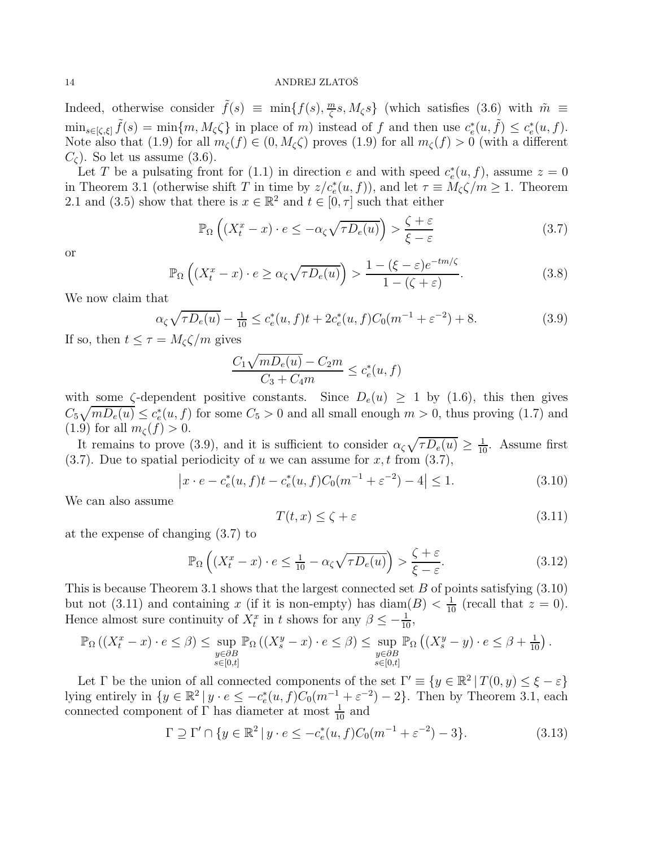Indeed, otherwise consider  $\tilde{f}(s) \equiv \min\{f(s), \frac{m}{\zeta}\}$  $\frac{m}{\zeta}s$ ,  $M_{\zeta}s$  (which satisfies (3.6) with  $\tilde{m} \equiv$  $\min_{s \in [\zeta, \xi]} \tilde{f}(s) = \min\{m, M_{\zeta} \zeta\}$  in place of m) instead of f and then use  $c_e^*(u, \tilde{f}) \leq c_e^*(u, f)$ . Note also that (1.9) for all  $m_{\zeta}(f) \in (0, M_{\zeta} \zeta)$  proves (1.9) for all  $m_{\zeta}(f) > 0$  (with a different  $C_{\zeta}$ ). So let us assume (3.6).

Let T be a pulsating front for (1.1) in direction e and with speed  $c_e^*(u, f)$ , assume  $z = 0$ in Theorem 3.1 (otherwise shift T in time by  $z/c_e^*(u, f)$ ), and let  $\tau \equiv M_\zeta \zeta/m \ge 1$ . Theorem 2.1 and (3.5) show that there is  $x \in \mathbb{R}^2$  and  $t \in [0, \tau]$  such that either

$$
\mathbb{P}_{\Omega}\left(\left(X_t^x - x\right) \cdot e \le -\alpha_{\zeta}\sqrt{\tau D_e(u)}\right) > \frac{\zeta + \varepsilon}{\xi - \varepsilon} \tag{3.7}
$$

or

$$
\mathbb{P}_{\Omega}\left(\left(X_t^x - x\right) \cdot e \ge \alpha_{\zeta} \sqrt{\tau D_e(u)}\right) > \frac{1 - (\xi - \varepsilon)e^{-tm/\zeta}}{1 - (\zeta + \varepsilon)}.\tag{3.8}
$$

We now claim that

$$
\alpha_{\zeta}\sqrt{\tau D_e(u)} - \frac{1}{10} \le c_e^*(u, f)t + 2c_e^*(u, f)C_0(m^{-1} + \varepsilon^{-2}) + 8. \tag{3.9}
$$

If so, then  $t \leq \tau = M_{\zeta} \zeta/m$  gives

$$
\frac{C_1\sqrt{mD_e(u)} - C_2m}{C_3 + C_4m} \le c_e^*(u, f)
$$

with some  $\zeta$ -dependent positive constants. Since  $D_e(u) \geq 1$  by  $(1.6)$ , this then gives  $C_5\sqrt{mD_e(u)} \leq c_e^*(u, f)$  for some  $C_5 > 0$  and all small enough  $m > 0$ , thus proving (1.7) and  $(1.9)$  for all  $m<sub>\zeta</sub>(f) > 0$ .

It remains to prove (3.9), and it is sufficient to consider  $\alpha_{\zeta}\sqrt{\tau D_e(u)} \geq \frac{1}{10}$ . Assume first  $(3.7)$ . Due to spatial periodicity of u we can assume for x, t from  $(3.7)$ ,

$$
\left| x \cdot e - c_e^*(u, f)t - c_e^*(u, f)C_0(m^{-1} + \varepsilon^{-2}) - 4 \right| \le 1. \tag{3.10}
$$

We can also assume

$$
T(t,x) \le \zeta + \varepsilon \tag{3.11}
$$

at the expense of changing (3.7) to

$$
\mathbb{P}_{\Omega}\left(\left(X_t^x - x\right) \cdot e \le \frac{1}{10} - \alpha_{\zeta} \sqrt{\tau D_e(u)}\right) > \frac{\zeta + \varepsilon}{\zeta - \varepsilon}.\tag{3.12}
$$

This is because Theorem 3.1 shows that the largest connected set B of points satisfying (3.10) but not (3.11) and containing x (if it is non-empty) has  $\text{diam}(B) < \frac{1}{10}$  (recall that  $z = 0$ ). Hence almost sure continuity of  $X_t^x$  in t shows for any  $\beta \leq -\frac{1}{10}$ ,

$$
\mathbb{P}_{\Omega}\left(\left(X_t^x - x\right) \cdot e \leq \beta\right) \leq \sup_{\substack{y \in \partial B \\ s \in [0,t]}} \mathbb{P}_{\Omega}\left(\left(X_s^y - x\right) \cdot e \leq \beta\right) \leq \sup_{\substack{y \in \partial B \\ s \in [0,t]}} \mathbb{P}_{\Omega}\left(\left(X_s^y - y\right) \cdot e \leq \beta + \frac{1}{10}\right).
$$

Let  $\Gamma$  be the union of all connected components of the set  $\Gamma' \equiv \{y \in \mathbb{R}^2 | T(0, y) \le \xi - \varepsilon\}$ lying entirely in  $\{y \in \mathbb{R}^2 | y \cdot e \leq -c_e^*(u, f)C_0(m^{-1} + \varepsilon^{-2}) - 2\}$ . Then by Theorem 3.1, each connected component of  $\Gamma$  has diameter at most  $\frac{1}{10}$  and

$$
\Gamma \supseteq \Gamma' \cap \{ y \in \mathbb{R}^2 \mid y \cdot e \le -c_e^*(u, f)C_0(m^{-1} + \varepsilon^{-2}) - 3 \}. \tag{3.13}
$$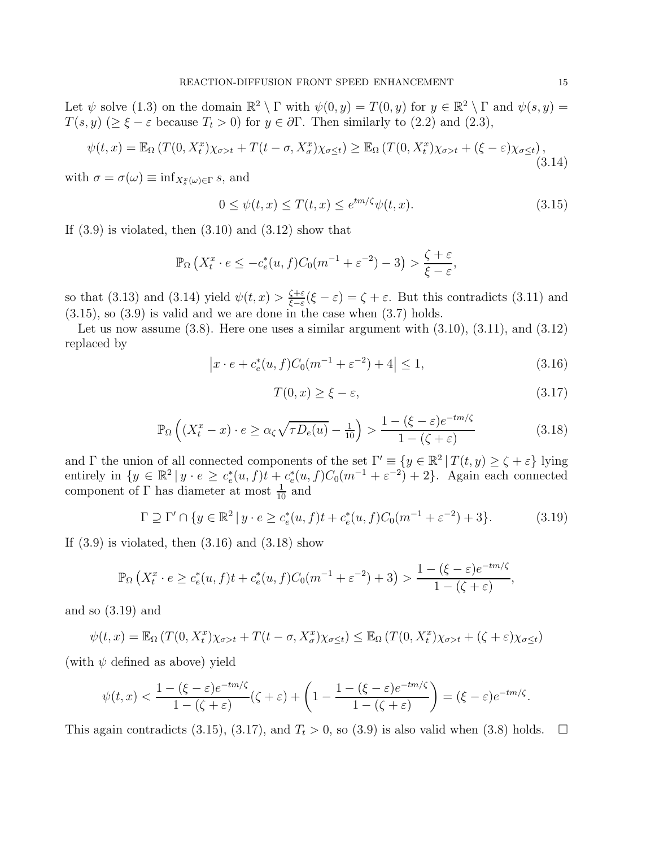Let  $\psi$  solve (1.3) on the domain  $\mathbb{R}^2 \setminus \Gamma$  with  $\psi(0, y) = T(0, y)$  for  $y \in \mathbb{R}^2 \setminus \Gamma$  and  $\psi(s, y) = T(s)$  $T(s, y)$  ( $\geq \xi - \varepsilon$  because  $T_t > 0$ ) for  $y \in \partial \Gamma$ . Then similarly to (2.2) and (2.3),

$$
\psi(t,x) = \mathbb{E}_{\Omega} \left( T(0, X_t^x) \chi_{\sigma > t} + T(t - \sigma, X_\sigma^x) \chi_{\sigma \le t} \right) \ge \mathbb{E}_{\Omega} \left( T(0, X_t^x) \chi_{\sigma > t} + (\xi - \varepsilon) \chi_{\sigma \le t} \right),\tag{3.14}
$$

with  $\sigma = \sigma(\omega) \equiv \inf_{X_s^x(\omega) \in \Gamma} s$ , and

$$
0 \le \psi(t, x) \le T(t, x) \le e^{tm/\zeta} \psi(t, x). \tag{3.15}
$$

If  $(3.9)$  is violated, then  $(3.10)$  and  $(3.12)$  show that

$$
\mathbb{P}_{\Omega}\left(X_t^x \cdot e \le -c_e^*(u, f)C_0(m^{-1} + \varepsilon^{-2}) - 3\right) > \frac{\zeta + \varepsilon}{\xi - \varepsilon},
$$

so that (3.13) and (3.14) yield  $\psi(t,x) > \frac{\zeta + \varepsilon}{\zeta - \varepsilon}$  $\frac{\zeta + \varepsilon}{\zeta - \varepsilon}(\xi - \varepsilon) = \zeta + \varepsilon$ . But this contradicts (3.11) and  $(3.15)$ , so  $(3.9)$  is valid and we are done in the case when  $(3.7)$  holds.

Let us now assume  $(3.8)$ . Here one uses a similar argument with  $(3.10)$ ,  $(3.11)$ , and  $(3.12)$ replaced by

$$
\left| x \cdot e + c_e^*(u, f) C_0(m^{-1} + \varepsilon^{-2}) + 4 \right| \le 1,
$$
\n(3.16)

$$
T(0, x) \ge \xi - \varepsilon,\tag{3.17}
$$

$$
\mathbb{P}_{\Omega}\left(\left(X_t^x - x\right) \cdot e \ge \alpha_{\zeta}\sqrt{\tau D_e(u)} - \frac{1}{10}\right) > \frac{1 - (\xi - \varepsilon)e^{-tm/\zeta}}{1 - (\zeta + \varepsilon)}\tag{3.18}
$$

and  $\Gamma$  the union of all connected components of the set  $\Gamma' \equiv \{y \in \mathbb{R}^2 \mid T(t, y) \ge \zeta + \varepsilon\}$  lying entirely in  $\{y \in \mathbb{R}^2 \mid y \cdot e \geq c_e^*(u, f)t + c_e^*(u, f)C_0(m^{-1} + \varepsilon^{-2}) + 2\}$ . Again each connected component of  $\Gamma$  has diameter at most  $\frac{1}{10}$  and

$$
\Gamma \supseteq \Gamma' \cap \{ y \in \mathbb{R}^2 \mid y \cdot e \ge c_e^*(u, f)t + c_e^*(u, f)C_0(m^{-1} + \varepsilon^{-2}) + 3 \}. \tag{3.19}
$$

If  $(3.9)$  is violated, then  $(3.16)$  and  $(3.18)$  show

$$
\mathbb{P}_{\Omega}\left(X_t^x \cdot e \ge c_e^*(u, f)t + c_e^*(u, f)C_0(m^{-1} + \varepsilon^{-2}) + 3\right) > \frac{1 - (\xi - \varepsilon)e^{-tm/\zeta}}{1 - (\zeta + \varepsilon)},
$$

and so (3.19) and

$$
\psi(t,x) = \mathbb{E}_{\Omega} \left( T(0, X_t^x) \chi_{\sigma > t} + T(t - \sigma, X_\sigma^x) \chi_{\sigma \le t} \right) \le \mathbb{E}_{\Omega} \left( T(0, X_t^x) \chi_{\sigma > t} + (\zeta + \varepsilon) \chi_{\sigma \le t} \right)
$$

(with  $\psi$  defined as above) yield

$$
\psi(t,x) < \frac{1-(\xi-\varepsilon)e^{-tm/\zeta}}{1-(\zeta+\varepsilon)}(\zeta+\varepsilon) + \left(1-\frac{1-(\xi-\varepsilon)e^{-tm/\zeta}}{1-(\zeta+\varepsilon)}\right) = (\xi-\varepsilon)e^{-tm/\zeta}.
$$

This again contradicts (3.15), (3.17), and  $T_t > 0$ , so (3.9) is also valid when (3.8) holds.  $\Box$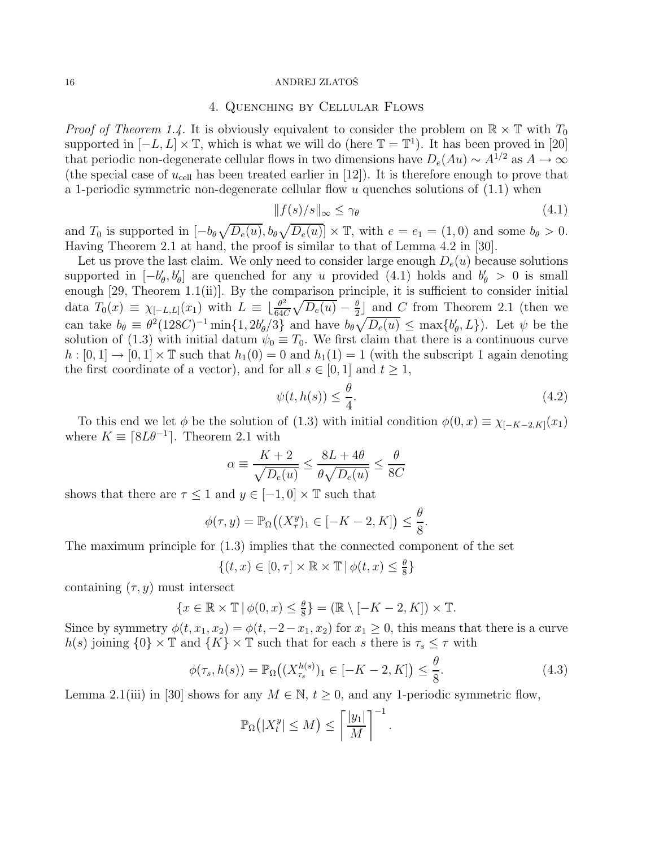# 4. Quenching by Cellular Flows

*Proof of Theorem 1.4.* It is obviously equivalent to consider the problem on  $\mathbb{R} \times \mathbb{T}$  with  $T_0$ supported in  $[-L, L] \times \mathbb{T}$ , which is what we will do (here  $\mathbb{T} = \mathbb{T}^1$ ). It has been proved in [20] that periodic non-degenerate cellular flows in two dimensions have  $D_e(Au) \sim A^{1/2}$  as  $A \to \infty$ (the special case of  $u_{cell}$  has been treated earlier in [12]). It is therefore enough to prove that a 1-periodic symmetric non-degenerate cellular flow  $u$  quenches solutions of  $(1.1)$  when

$$
||f(s)/s||_{\infty} \le \gamma_{\theta} \tag{4.1}
$$

and  $T_0$  is supported in  $[-b_\theta \sqrt{D_e(u)}, b_\theta \sqrt{D_e(u)}] \times \mathbb{T}$ , with  $e = e_1 = (1, 0)$  and some  $b_\theta > 0$ . Having Theorem 2.1 at hand, the proof is similar to that of Lemma 4.2 in [30].

Let us prove the last claim. We only need to consider large enough  $D_e(u)$  because solutions supported in  $[-b'_\theta, b'_\theta]$  are quenched for any u provided (4.1) holds and  $b'_\theta > 0$  is small enough  $[29,$  Theorem 1.1(ii)]. By the comparison principle, it is sufficient to consider initial data  $T_0(x) \equiv \chi_{[-L,L]}(x_1)$  with  $L \equiv \lfloor \frac{\theta^2}{64C} \rfloor$  $\frac{\theta^2}{64C}\sqrt{D_e(u)}-\frac{\theta}{2}$  $\frac{\theta}{2}$  and C from Theorem 2.1 (then we can take  $b_{\theta} \equiv \theta^2 (128C)^{-1} \min\{1, 2b_{\theta}^{\prime}/3\}$  and have  $b_{\theta} \sqrt{D_e(u)} \leq \max\{b_{\theta}^{\prime}, L\}$ . Let  $\psi$  be the solution of (1.3) with initial datum  $\psi_0 \equiv T_0$ . We first claim that there is a continuous curve  $h: [0,1] \to [0,1] \times \mathbb{T}$  such that  $h_1(0) = 0$  and  $h_1(1) = 1$  (with the subscript 1 again denoting the first coordinate of a vector), and for all  $s \in [0, 1]$  and  $t \geq 1$ ,

$$
\psi(t, h(s)) \le \frac{\theta}{4}.\tag{4.2}
$$

To this end we let  $\phi$  be the solution of (1.3) with initial condition  $\phi(0, x) \equiv \chi_{[-K-2, K]}(x_1)$ where  $K \equiv \lceil 8L\theta^{-1} \rceil$ . Theorem 2.1 with

$$
\alpha \equiv \frac{K+2}{\sqrt{D_e(u)}} \le \frac{8L+4\theta}{\theta\sqrt{D_e(u)}} \le \frac{\theta}{8C}
$$

shows that there are  $\tau \leq 1$  and  $y \in [-1,0] \times \mathbb{T}$  such that

$$
\phi(\tau, y) = \mathbb{P}_{\Omega}\big((X^y_\tau)_1 \in [-K - 2, K]\big) \le \frac{\theta}{8}.
$$

The maximum principle for (1.3) implies that the connected component of the set

$$
\{(t,x)\in [0,\tau]\times \mathbb{R}\times \mathbb{T}\,|\,\phi(t,x)\leq \tfrac{\theta}{8}\}
$$

containing  $(\tau, y)$  must intersect

$$
\{x \in \mathbb{R} \times \mathbb{T} \mid \phi(0, x) \le \frac{\theta}{8}\} = (\mathbb{R} \setminus [-K - 2, K]) \times \mathbb{T}.
$$

Since by symmetry  $\phi(t, x_1, x_2) = \phi(t, -2 - x_1, x_2)$  for  $x_1 \geq 0$ , this means that there is a curve  $h(s)$  joining  $\{0\} \times \mathbb{T}$  and  $\{K\} \times \mathbb{T}$  such that for each s there is  $\tau_s \leq \tau$  with

$$
\phi(\tau_s, h(s)) = \mathbb{P}_{\Omega}\big((X_{\tau_s}^{h(s)})_1 \in [-K - 2, K]\big) \le \frac{\theta}{8}.
$$
\n(4.3)

.

Lemma 2.1(iii) in [30] shows for any  $M \in \mathbb{N}$ ,  $t \ge 0$ , and any 1-periodic symmetric flow,

$$
\mathbb{P}_{\Omega}(|X_t^y| \le M) \le \left\lceil \frac{|y_1|}{M} \right\rceil^{-1}
$$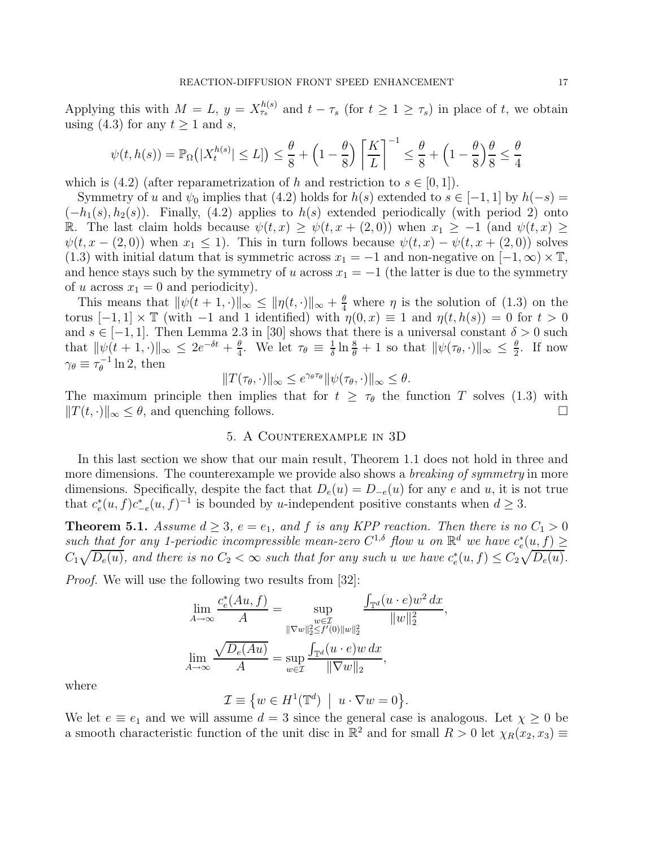Applying this with  $M = L$ ,  $y = X_{\tau_s}^{h(s)}$  and  $t - \tau_s$  (for  $t \geq 1 \geq \tau_s$ ) in place of t, we obtain using (4.3) for any  $t \ge 1$  and s,

$$
\psi(t, h(s)) = \mathbb{P}_{\Omega}(|X_t^{h(s)}| \le L] \le \frac{\theta}{8} + \left(1 - \frac{\theta}{8}\right) \left[\frac{K}{L}\right]^{-1} \le \frac{\theta}{8} + \left(1 - \frac{\theta}{8}\right) \frac{\theta}{8} \le \frac{\theta}{4}
$$

which is (4.2) (after reparametrization of h and restriction to  $s \in [0,1]$ ).

Symmetry of u and  $\psi_0$  implies that (4.2) holds for  $h(s)$  extended to  $s \in [-1,1]$  by  $h(-s) =$  $(-h_1(s), h_2(s))$ . Finally, (4.2) applies to  $h(s)$  extended periodically (with period 2) onto R. The last claim holds because  $\psi(t, x) \geq \psi(t, x + (2, 0))$  when  $x_1 \geq -1$  (and  $\psi(t, x) \geq$  $\psi(t, x - (2, 0))$  when  $x_1 \leq 1$ . This in turn follows because  $\psi(t, x) - \psi(t, x + (2, 0))$  solves (1.3) with initial datum that is symmetric across  $x_1 = -1$  and non-negative on  $[-1, \infty) \times \mathbb{T}$ , and hence stays such by the symmetry of u across  $x_1 = -1$  (the latter is due to the symmetry of u across  $x_1 = 0$  and periodicity).

This means that  $\|\psi(t + 1, \cdot)\|_{\infty} \le \|\eta(t, \cdot)\|_{\infty} + \frac{\theta}{4}$  where  $\eta$  is the solution of (1.3) on the torus  $[-1, 1] \times \mathbb{T}$  (with  $-1$  and 1 identified) with  $\eta(0, x) \equiv 1$  and  $\eta(t, h(s)) = 0$  for  $t > 0$ and  $s \in [-1, 1]$ . Then Lemma 2.3 in [30] shows that there is a universal constant  $\delta > 0$  such that  $\|\psi(t + 1, \cdot)\|_{\infty} \leq 2e^{-\delta t} + \frac{\theta}{4}$  $\frac{\theta}{4}$ . We let  $\tau_{\theta} \equiv \frac{1}{\delta}$  $\frac{1}{\delta} \ln \frac{8}{\theta} + 1$  so that  $\|\psi(\tau_{\theta}, \cdot)\|_{\infty} \leq \frac{\theta}{2}$  $\frac{\theta}{2}$ . If now  $\gamma_{\theta} \equiv \tau_{\theta}^{-1}$  $\int_{\theta}^{-1} \ln 2$ , then

$$
||T(\tau_{\theta}, \cdot)||_{\infty} \le e^{\gamma_{\theta}\tau_{\theta}} ||\psi(\tau_{\theta}, \cdot)||_{\infty} \le \theta.
$$

The maximum principle then implies that for  $t \geq \tau_{\theta}$  the function T solves (1.3) with  $||T(t, \cdot)||_{\infty} < \theta$ , and quenching follows.  $||T(t, \cdot)||_{\infty} \leq \theta$ , and quenching follows.

# 5. A Counterexample in 3D

In this last section we show that our main result, Theorem 1.1 does not hold in three and more dimensions. The counterexample we provide also shows a *breaking of symmetry* in more dimensions. Specifically, despite the fact that  $D_e(u) = D_{-e}(u)$  for any e and u, it is not true that  $c_e^*(u, f)c_{-e}^*(u, f)^{-1}$  is bounded by u-independent positive constants when  $d \geq 3$ .

**Theorem 5.1.** Assume  $d \geq 3$ ,  $e = e_1$ , and f is any KPP reaction. Then there is no  $C_1 > 0$ such that for any 1-periodic incompressible mean-zero  $C^{1,\delta}$  flow u on  $\mathbb{R}^d$  we have  $c_e^*(u, f) \ge$  $C_1\sqrt{D_e(u)}$ , and there is no  $C_2 < \infty$  such that for any such u we have  $c_e^*(u, f) \leq C_2\sqrt{D_e(u)}$ .

*Proof.* We will use the following two results from [32]:

$$
\lim_{A \to \infty} \frac{c_e^*(Au, f)}{A} = \sup_{\substack{w \in \mathcal{I} \\ \| \nabla w \|_2^2 \le f'(0) \| w \|_2^2}} \frac{\int_{\mathbb{T}^d} (u \cdot e) w^2 dx}{\|w\|_2^2}
$$

$$
\lim_{A \to \infty} \frac{\sqrt{D_e(Au)}}{A} = \sup_{w \in \mathcal{I}} \frac{\int_{\mathbb{T}^d} (u \cdot e) w dx}{\|\nabla w\|_2},
$$

,

where

$$
\mathcal{I} \equiv \{ w \in H^1(\mathbb{T}^d) \mid u \cdot \nabla w = 0 \}.
$$

We let  $e \equiv e_1$  and we will assume  $d = 3$  since the general case is analogous. Let  $\chi \ge 0$  be a smooth characteristic function of the unit disc in  $\mathbb{R}^2$  and for small  $R > 0$  let  $\chi_R(x_2, x_3) \equiv$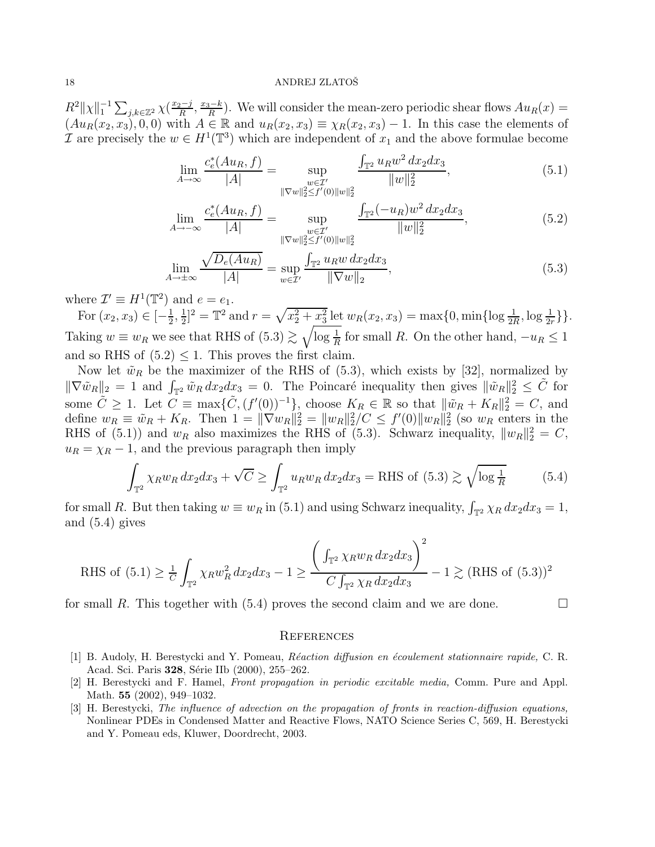$R^2 ||\chi||_1^{-1} \sum_{j,k \in \mathbb{Z}^2} \chi(\frac{x_2-j}{R})$  $\frac{a-1}{R}$ ,  $\frac{x_3-k}{R}$  $\frac{B^{n-k}}{R}$ ). We will consider the mean-zero periodic shear flows  $Au_R(x) =$  $(Au_R(x_2, x_3), 0, 0)$  with  $A \in \mathbb{R}$  and  $u_R(x_2, x_3) = \chi_R(x_2, x_3) - 1$ . In this case the elements of  $\mathcal I$  are precisely the  $w \in H^1(\mathbb{T}^3)$  which are independent of  $x_1$  and the above formulae become

$$
\lim_{A \to \infty} \frac{c_e^*(Au_R, f)}{|A|} = \sup_{\substack{w \in \mathcal{I}' \\ \| \nabla w \|_2^2 \le f'(0) \| w \|_2^2}} \frac{\int_{\mathbb{T}^2} u_R w^2 \, dx_2 dx_3}{\|w\|_2^2},\tag{5.1}
$$

$$
\lim_{A \to -\infty} \frac{c_e^*(Au_R, f)}{|A|} = \sup_{\substack{w \in \mathcal{I}' \\ \|\nabla w\|_2^2 \le f'(0) \|w\|_2^2}} \frac{\int_{\mathbb{T}^2} (-u_R) w^2 \, dx_2 dx_3}{\|w\|_2^2},\tag{5.2}
$$

$$
\lim_{A \to \pm \infty} \frac{\sqrt{D_e(Au_R)}}{|A|} = \sup_{w \in \mathcal{I}'} \frac{\int_{\mathbb{T}^2} u_R w \, dx_2 dx_3}{\|\nabla w\|_2},\tag{5.3}
$$

where  $\mathcal{I}' \equiv H^1(\mathbb{T}^2)$  and  $e = e_1$ .

For  $(x_2, x_3) \in \left[-\frac{1}{2}\right]$  $\frac{1}{2}, \frac{1}{2}$  $\frac{1}{2}$ ]<sup>2</sup> =  $\mathbb{T}^2$  and  $r = \sqrt{x_2^2 + x_3^2}$  let  $w_R(x_2, x_3) = \max\{0, \min\{\log \frac{1}{2R}, \log \frac{1}{2r}\}\}.$ Taking  $w \equiv w_R$  we see that RHS of  $(5.3) \gtrsim \sqrt{\log \frac{1}{R}}$  for small R. On the other hand,  $-u_R \le 1$ and so RHS of  $(5.2)$  < 1. This proves the first claim.

Now let  $\tilde{w}_R$  be the maximizer of the RHS of (5.3), which exists by [32], normalized by  $\|\nabla \tilde{w}_R\|_2 = 1$  and  $\int_{\mathbb{T}^2} \tilde{w}_R dx_2 dx_3 = 0$ . The Poincaré inequality then gives  $\|\tilde{w}_R\|_2^2 \leq \tilde{C}$  for some  $\tilde{C} \geq 1$ . Let  $C \equiv \max{\{\tilde{C}, (f'(0))^{-1}\}}$ , choose  $K_R \in \mathbb{R}$  so that  $\|\tilde{w}_R + K_R\|_2^2 = C$ , and define  $w_R = \tilde{w}_R + K_R$ . Then  $1 = \|\nabla w_R\|_2^2 = \|w_R\|_2^2 / C \le f'(0) \|w_R\|_2^2$  (so  $w_R$  enters in the RHS of (5.1)) and  $w_R$  also maximizes the RHS of (5.3). Schwarz inequality,  $||w_R||_2^2 = C$ ,  $u_R = \chi_R - 1$ , and the previous paragraph then imply

$$
\int_{\mathbb{T}^2} \chi_R w_R dx_2 dx_3 + \sqrt{C} \ge \int_{\mathbb{T}^2} u_R w_R dx_2 dx_3 = \text{RHS of (5.3)} \gtrsim \sqrt{\log \frac{1}{R}}
$$
(5.4)

for small R. But then taking  $w \equiv w_R$  in (5.1) and using Schwarz inequality,  $\int_{\mathbb{T}^2} \chi_R dx_2 dx_3 = 1$ , and (5.4) gives

RHS of (5.1) 
$$
\geq \frac{1}{C} \int_{\mathbb{T}^2} \chi_R w_R^2 dx_2 dx_3 - 1 \geq \frac{\left(\int_{\mathbb{T}^2} \chi_R w_R dx_2 dx_3\right)^2}{C \int_{\mathbb{T}^2} \chi_R dx_2 dx_3} - 1 \gtrsim (\text{RHS of } (5.3))^2
$$

for small R. This together with  $(5.4)$  proves the second claim and we are done.

#### **REFERENCES**

- [1] B. Audoly, H. Berestycki and Y. Pomeau, *Réaction diffusion en écoulement stationnaire rapide*, C. R. Acad. Sci. Paris 328, Série IIb (2000), 255–262.
- [2] H. Berestycki and F. Hamel, Front propagation in periodic excitable media, Comm. Pure and Appl. Math. 55 (2002), 949–1032.
- [3] H. Berestycki, The influence of advection on the propagation of fronts in reaction-diffusion equations, Nonlinear PDEs in Condensed Matter and Reactive Flows, NATO Science Series C, 569, H. Berestycki and Y. Pomeau eds, Kluwer, Doordrecht, 2003.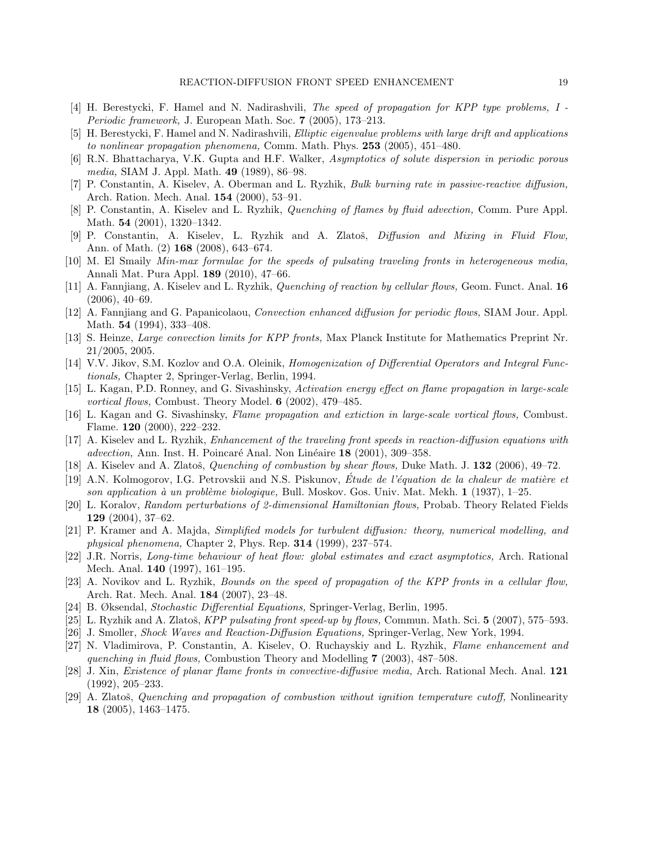- [4] H. Berestycki, F. Hamel and N. Nadirashvili, The speed of propagation for KPP type problems, I Periodic framework, J. European Math. Soc. 7 (2005), 173–213.
- [5] H. Berestycki, F. Hamel and N. Nadirashvili, Elliptic eigenvalue problems with large drift and applications to nonlinear propagation phenomena, Comm. Math. Phys.  $253$  (2005), 451-480.
- [6] R.N. Bhattacharya, V.K. Gupta and H.F. Walker, Asymptotics of solute dispersion in periodic porous media, SIAM J. Appl. Math. 49 (1989), 86–98.
- [7] P. Constantin, A. Kiselev, A. Oberman and L. Ryzhik, Bulk burning rate in passive-reactive diffusion, Arch. Ration. Mech. Anal. 154 (2000), 53–91.
- [8] P. Constantin, A. Kiselev and L. Ryzhik, Quenching of flames by fluid advection, Comm. Pure Appl. Math. 54 (2001), 1320–1342.
- [9] P. Constantin, A. Kiselev, L. Ryzhik and A. Zlatoš, *Diffusion and Mixing in Fluid Flow*, Ann. of Math. (2) 168 (2008), 643–674.
- [10] M. El Smaily Min-max formulae for the speeds of pulsating traveling fronts in heterogeneous media, Annali Mat. Pura Appl. 189 (2010), 47–66.
- [11] A. Fannjiang, A. Kiselev and L. Ryzhik, *Quenching of reaction by cellular flows*, Geom. Funct. Anal. 16 (2006), 40–69.
- [12] A. Fannjiang and G. Papanicolaou, Convection enhanced diffusion for periodic flows, SIAM Jour. Appl. Math. 54 (1994), 333–408.
- [13] S. Heinze, Large convection limits for KPP fronts, Max Planck Institute for Mathematics Preprint Nr. 21/2005, 2005.
- [14] V.V. Jikov, S.M. Kozlov and O.A. Oleinik, Homogenization of Differential Operators and Integral Functionals, Chapter 2, Springer-Verlag, Berlin, 1994.
- [15] L. Kagan, P.D. Ronney, and G. Sivashinsky, Activation energy effect on flame propagation in large-scale vortical flows, Combust. Theory Model. 6 (2002), 479–485.
- [16] L. Kagan and G. Sivashinsky, Flame propagation and extiction in large-scale vortical flows, Combust. Flame. 120 (2000), 222–232.
- [17] A. Kiselev and L. Ryzhik, Enhancement of the traveling front speeds in reaction-diffusion equations with advection, Ann. Inst. H. Poincaré Anal. Non Linéaire 18 (2001), 309–358.
- [18] A. Kiselev and A. Zlatoš, Quenching of combustion by shear flows, Duke Math. J.  $132$  (2006), 49–72.
- [19] A.N. Kolmogorov, I.G. Petrovskii and N.S. Piskunov, Etude de l'équation de la chaleur de matière et son application à un problème biologique, Bull. Moskov. Gos. Univ. Mat. Mekh.  $1$  (1937), 1–25.
- [20] L. Koralov, Random perturbations of 2-dimensional Hamiltonian flows, Probab. Theory Related Fields 129 (2004), 37–62.
- [21] P. Kramer and A. Majda, Simplified models for turbulent diffusion: theory, numerical modelling, and physical phenomena, Chapter 2, Phys. Rep. 314 (1999), 237–574.
- [22] J.R. Norris, Long-time behaviour of heat flow: global estimates and exact asymptotics, Arch. Rational Mech. Anal. 140 (1997), 161–195.
- [23] A. Novikov and L. Ryzhik, Bounds on the speed of propagation of the KPP fronts in a cellular flow, Arch. Rat. Mech. Anal. 184 (2007), 23–48.
- [24] B. Øksendal, Stochastic Differential Equations, Springer-Verlag, Berlin, 1995.
- [25] L. Ryzhik and A. Zlatoš, KPP pulsating front speed-up by flows, Commun. Math. Sci. 5 (2007), 575–593.
- [26] J. Smoller, Shock Waves and Reaction-Diffusion Equations, Springer-Verlag, New York, 1994.
- [27] N. Vladimirova, P. Constantin, A. Kiselev, O. Ruchayskiy and L. Ryzhik, Flame enhancement and quenching in fluid flows, Combustion Theory and Modelling 7 (2003), 487–508.
- [28] J. Xin, Existence of planar flame fronts in convective-diffusive media, Arch. Rational Mech. Anal. 121 (1992), 205–233.
- [29] A. Zlatoš, Quenching and propagation of combustion without ignition temperature cutoff, Nonlinearity 18 (2005), 1463–1475.